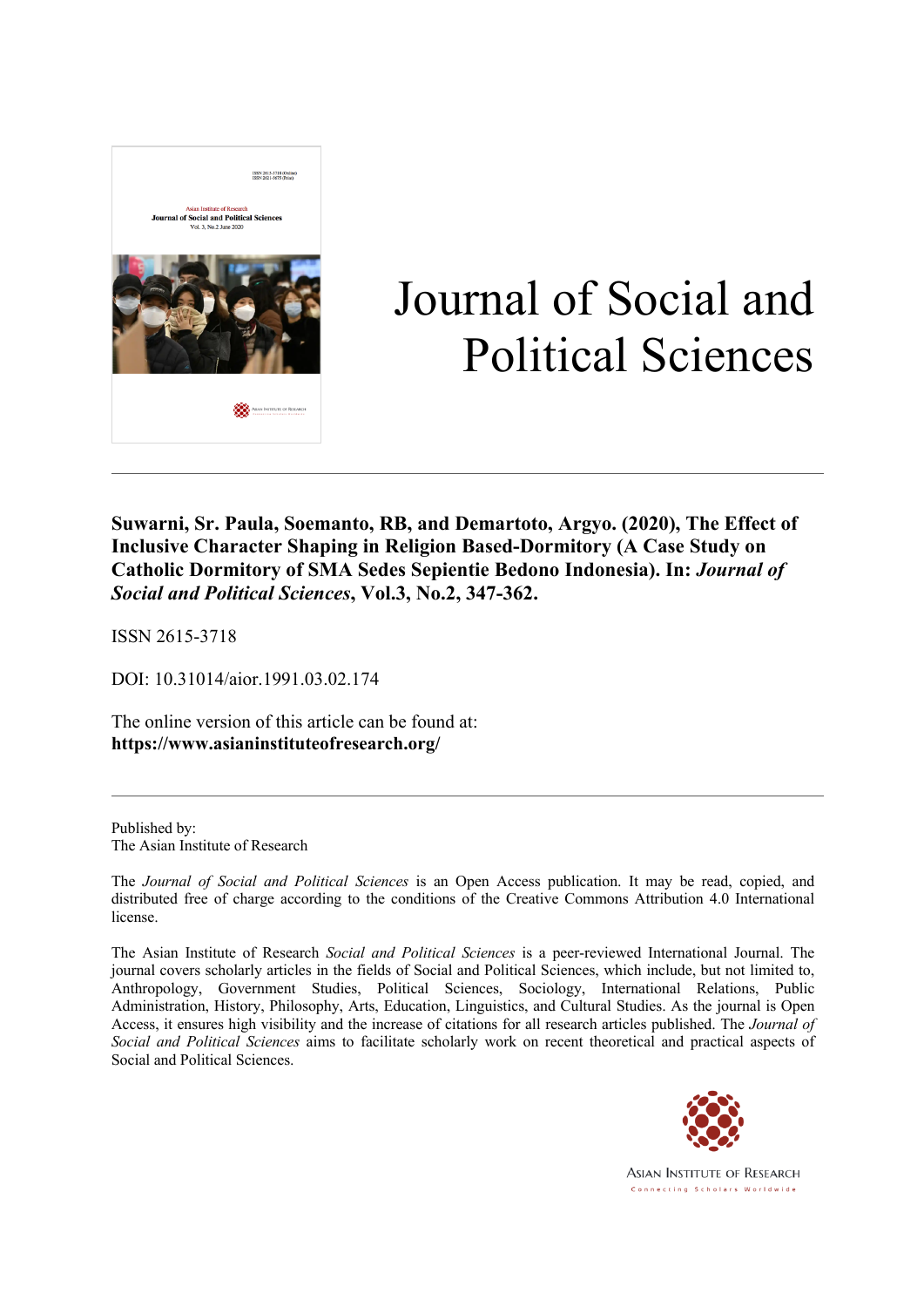

# Journal of Social and Political Sciences

**Suwarni, Sr. Paula, Soemanto, RB, and Demartoto, Argyo. (2020), The Effect of Inclusive Character Shaping in Religion Based-Dormitory (A Case Study on Catholic Dormitory of SMA Sedes Sepientie Bedono Indonesia). In:** *Journal of Social and Political Sciences***, Vol.3, No.2, 347-362.**

ISSN 2615-3718

DOI: 10.31014/aior.1991.03.02.174

The online version of this article can be found at: **https://www.asianinstituteofresearch.org/**

Published by: The Asian Institute of Research

The *Journal of Social and Political Sciences* is an Open Access publication. It may be read, copied, and distributed free of charge according to the conditions of the Creative Commons Attribution 4.0 International license.

The Asian Institute of Research *Social and Political Sciences* is a peer-reviewed International Journal. The journal covers scholarly articles in the fields of Social and Political Sciences, which include, but not limited to, Anthropology, Government Studies, Political Sciences, Sociology, International Relations, Public Administration, History, Philosophy, Arts, Education, Linguistics, and Cultural Studies. As the journal is Open Access, it ensures high visibility and the increase of citations for all research articles published. The *Journal of Social and Political Sciences* aims to facilitate scholarly work on recent theoretical and practical aspects of Social and Political Sciences.

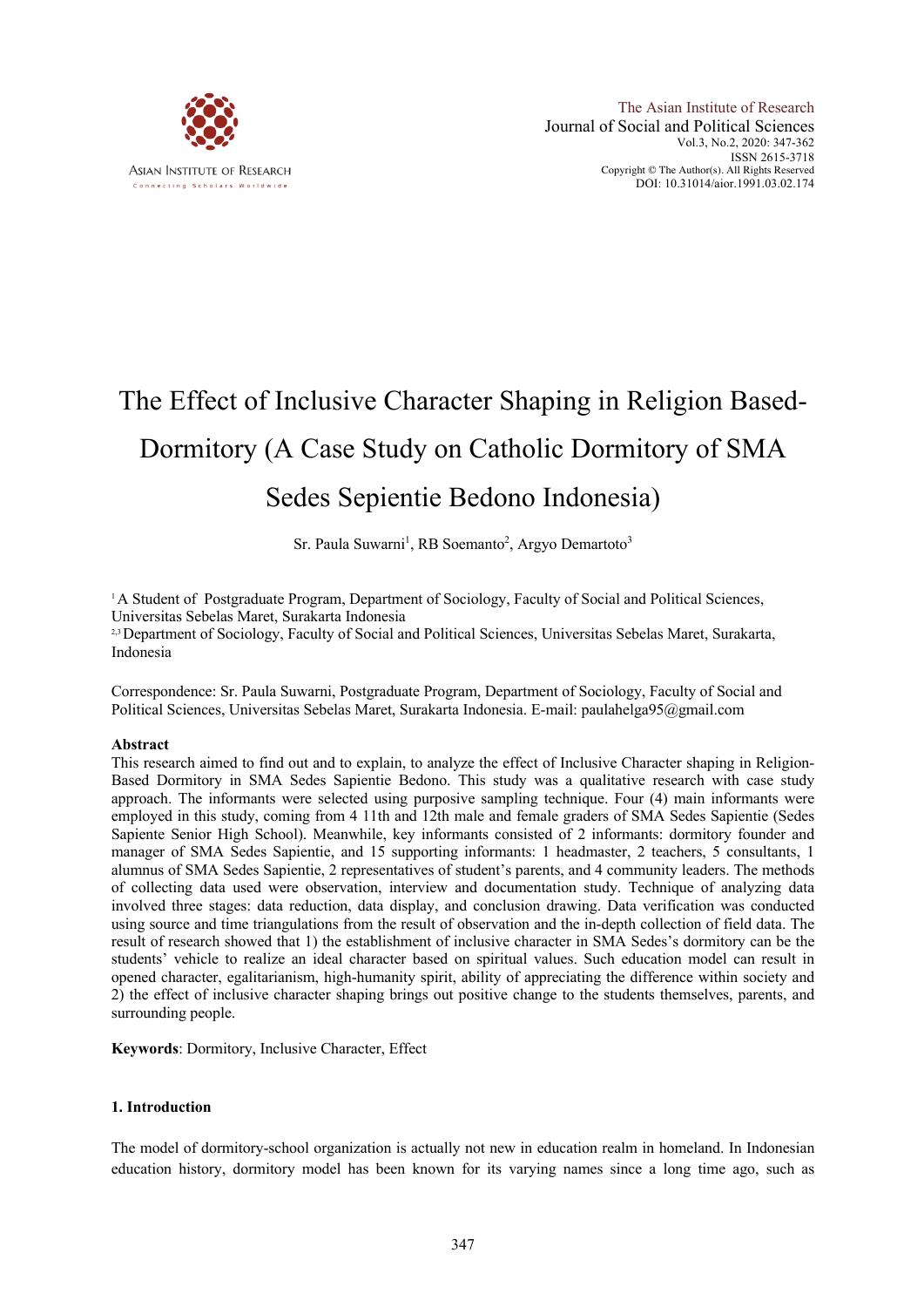

## The Effect of Inclusive Character Shaping in Religion Based-Dormitory (A Case Study on Catholic Dormitory of SMA Sedes Sepientie Bedono Indonesia)

Sr. Paula Suwarni<sup>1</sup>, RB Soemanto<sup>2</sup>, Argyo Demartoto<sup>3</sup>

<sup>1</sup>A Student of Postgraduate Program, Department of Sociology, Faculty of Social and Political Sciences, Universitas Sebelas Maret, Surakarta Indonesia

2,3Department of Sociology, Faculty of Social and Political Sciences, Universitas Sebelas Maret, Surakarta, Indonesia

Correspondence: Sr. Paula Suwarni, Postgraduate Program, Department of Sociology, Faculty of Social and Political Sciences, Universitas Sebelas Maret, Surakarta Indonesia. E-mail: paulahelga95@gmail.com

#### **Abstract**

This research aimed to find out and to explain, to analyze the effect of Inclusive Character shaping in Religion-Based Dormitory in SMA Sedes Sapientie Bedono. This study was a qualitative research with case study approach. The informants were selected using purposive sampling technique. Four (4) main informants were employed in this study, coming from 4 11th and 12th male and female graders of SMA Sedes Sapientie (Sedes Sapiente Senior High School). Meanwhile, key informants consisted of 2 informants: dormitory founder and manager of SMA Sedes Sapientie, and 15 supporting informants: 1 headmaster, 2 teachers, 5 consultants, 1 alumnus of SMA Sedes Sapientie, 2 representatives of student's parents, and 4 community leaders. The methods of collecting data used were observation, interview and documentation study. Technique of analyzing data involved three stages: data reduction, data display, and conclusion drawing. Data verification was conducted using source and time triangulations from the result of observation and the in-depth collection of field data. The result of research showed that 1) the establishment of inclusive character in SMA Sedes's dormitory can be the students' vehicle to realize an ideal character based on spiritual values. Such education model can result in opened character, egalitarianism, high-humanity spirit, ability of appreciating the difference within society and 2) the effect of inclusive character shaping brings out positive change to the students themselves, parents, and surrounding people.

**Keywords**: Dormitory, Inclusive Character, Effect

#### **1. Introduction**

The model of dormitory-school organization is actually not new in education realm in homeland. In Indonesian education history, dormitory model has been known for its varying names since a long time ago, such as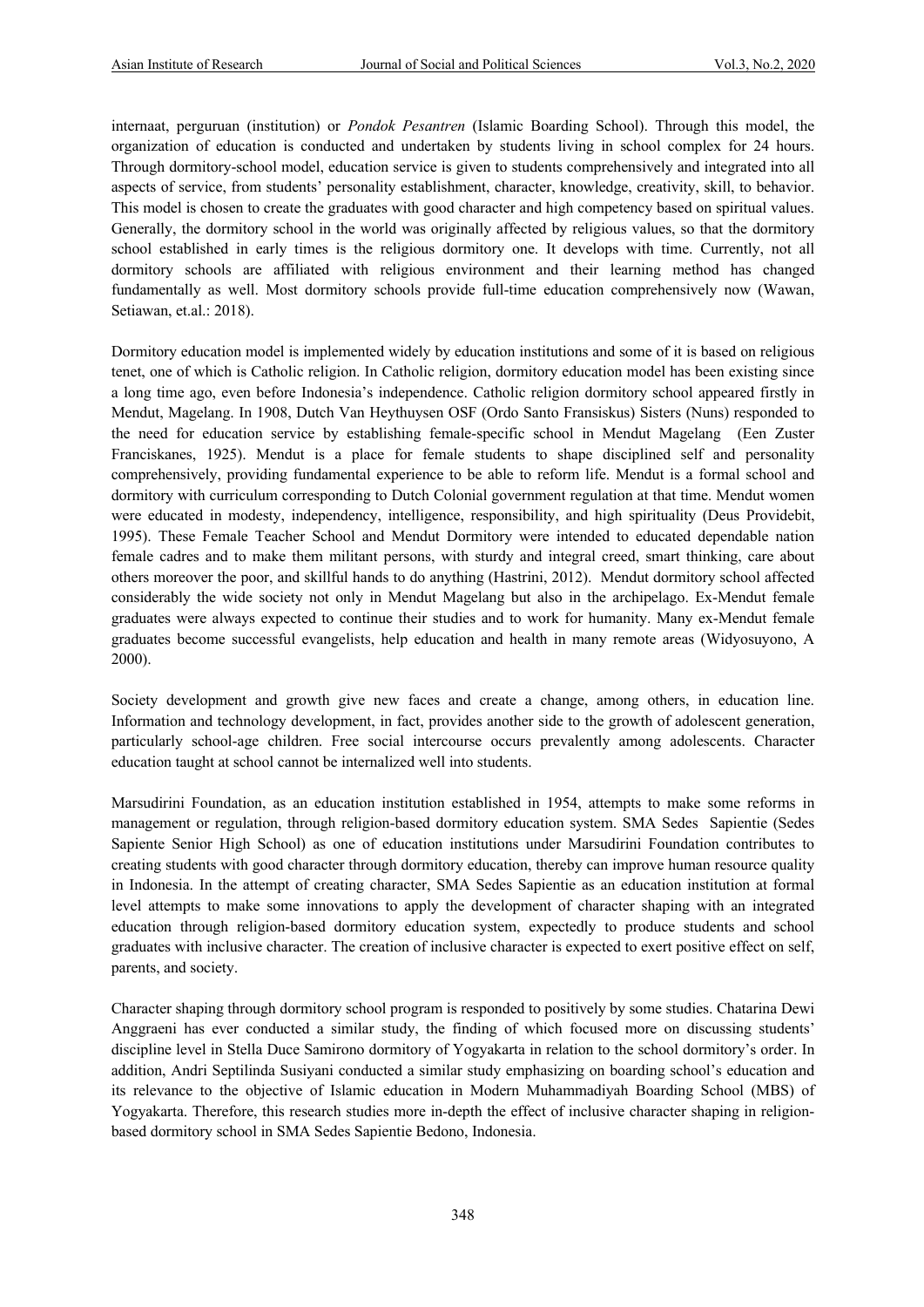internaat, perguruan (institution) or *Pondok Pesantren* (Islamic Boarding School). Through this model, the organization of education is conducted and undertaken by students living in school complex for 24 hours. Through dormitory-school model, education service is given to students comprehensively and integrated into all aspects of service, from students' personality establishment, character, knowledge, creativity, skill, to behavior. This model is chosen to create the graduates with good character and high competency based on spiritual values. Generally, the dormitory school in the world was originally affected by religious values, so that the dormitory school established in early times is the religious dormitory one. It develops with time. Currently, not all dormitory schools are affiliated with religious environment and their learning method has changed fundamentally as well. Most dormitory schools provide full-time education comprehensively now (Wawan, Setiawan, et.al.: 2018).

Dormitory education model is implemented widely by education institutions and some of it is based on religious tenet, one of which is Catholic religion. In Catholic religion, dormitory education model has been existing since a long time ago, even before Indonesia's independence. Catholic religion dormitory school appeared firstly in Mendut, Magelang. In 1908, Dutch Van Heythuysen OSF (Ordo Santo Fransiskus) Sisters (Nuns) responded to the need for education service by establishing female-specific school in Mendut Magelang (Een Zuster Franciskanes, 1925). Mendut is a place for female students to shape disciplined self and personality comprehensively, providing fundamental experience to be able to reform life. Mendut is a formal school and dormitory with curriculum corresponding to Dutch Colonial government regulation at that time. Mendut women were educated in modesty, independency, intelligence, responsibility, and high spirituality (Deus Providebit, 1995). These Female Teacher School and Mendut Dormitory were intended to educated dependable nation female cadres and to make them militant persons, with sturdy and integral creed, smart thinking, care about others moreover the poor, and skillful hands to do anything (Hastrini, 2012). Mendut dormitory school affected considerably the wide society not only in Mendut Magelang but also in the archipelago. Ex-Mendut female graduates were always expected to continue their studies and to work for humanity. Many ex-Mendut female graduates become successful evangelists, help education and health in many remote areas (Widyosuyono, A 2000).

Society development and growth give new faces and create a change, among others, in education line. Information and technology development, in fact, provides another side to the growth of adolescent generation, particularly school-age children. Free social intercourse occurs prevalently among adolescents. Character education taught at school cannot be internalized well into students.

Marsudirini Foundation, as an education institution established in 1954, attempts to make some reforms in management or regulation, through religion-based dormitory education system. SMA Sedes Sapientie (Sedes Sapiente Senior High School) as one of education institutions under Marsudirini Foundation contributes to creating students with good character through dormitory education, thereby can improve human resource quality in Indonesia. In the attempt of creating character, SMA Sedes Sapientie as an education institution at formal level attempts to make some innovations to apply the development of character shaping with an integrated education through religion-based dormitory education system, expectedly to produce students and school graduates with inclusive character. The creation of inclusive character is expected to exert positive effect on self, parents, and society.

Character shaping through dormitory school program is responded to positively by some studies. Chatarina Dewi Anggraeni has ever conducted a similar study, the finding of which focused more on discussing students' discipline level in Stella Duce Samirono dormitory of Yogyakarta in relation to the school dormitory's order. In addition, Andri Septilinda Susiyani conducted a similar study emphasizing on boarding school's education and its relevance to the objective of Islamic education in Modern Muhammadiyah Boarding School (MBS) of Yogyakarta. Therefore, this research studies more in-depth the effect of inclusive character shaping in religionbased dormitory school in SMA Sedes Sapientie Bedono, Indonesia.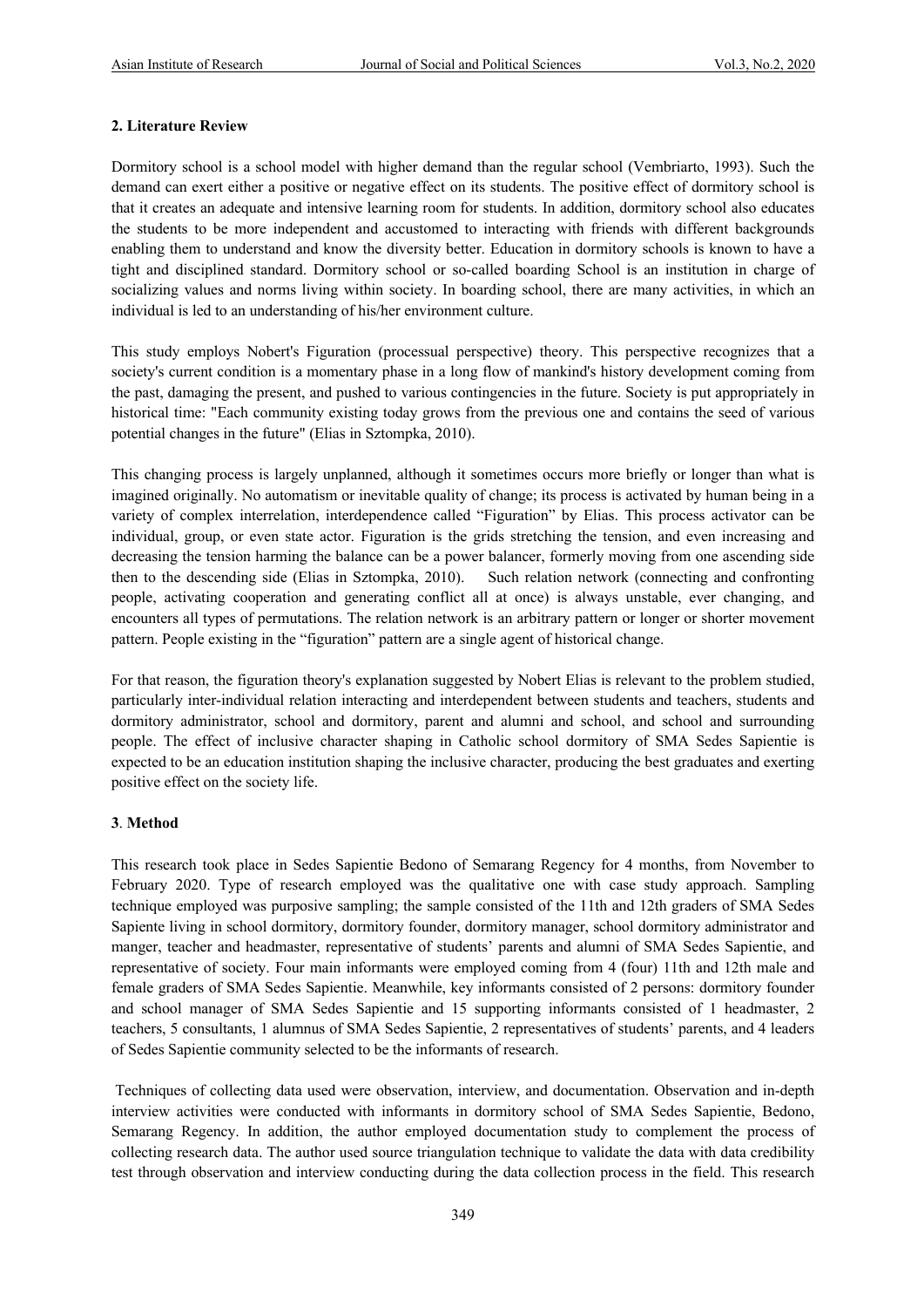#### **2. Literature Review**

Dormitory school is a school model with higher demand than the regular school (Vembriarto, 1993). Such the demand can exert either a positive or negative effect on its students. The positive effect of dormitory school is that it creates an adequate and intensive learning room for students. In addition, dormitory school also educates the students to be more independent and accustomed to interacting with friends with different backgrounds enabling them to understand and know the diversity better. Education in dormitory schools is known to have a tight and disciplined standard. Dormitory school or so-called boarding School is an institution in charge of socializing values and norms living within society. In boarding school, there are many activities, in which an individual is led to an understanding of his/her environment culture.

This study employs Nobert's Figuration (processual perspective) theory. This perspective recognizes that a society's current condition is a momentary phase in a long flow of mankind's history development coming from the past, damaging the present, and pushed to various contingencies in the future. Society is put appropriately in historical time: "Each community existing today grows from the previous one and contains the seed of various potential changes in the future" (Elias in Sztompka, 2010).

This changing process is largely unplanned, although it sometimes occurs more briefly or longer than what is imagined originally. No automatism or inevitable quality of change; its process is activated by human being in a variety of complex interrelation, interdependence called "Figuration" by Elias. This process activator can be individual, group, or even state actor. Figuration is the grids stretching the tension, and even increasing and decreasing the tension harming the balance can be a power balancer, formerly moving from one ascending side then to the descending side (Elias in Sztompka, 2010). Such relation network (connecting and confronting people, activating cooperation and generating conflict all at once) is always unstable, ever changing, and encounters all types of permutations. The relation network is an arbitrary pattern or longer or shorter movement pattern. People existing in the "figuration" pattern are a single agent of historical change.

For that reason, the figuration theory's explanation suggested by Nobert Elias is relevant to the problem studied, particularly inter-individual relation interacting and interdependent between students and teachers, students and dormitory administrator, school and dormitory, parent and alumni and school, and school and surrounding people. The effect of inclusive character shaping in Catholic school dormitory of SMA Sedes Sapientie is expected to be an education institution shaping the inclusive character, producing the best graduates and exerting positive effect on the society life.

#### **3**. **Method**

This research took place in Sedes Sapientie Bedono of Semarang Regency for 4 months, from November to February 2020. Type of research employed was the qualitative one with case study approach. Sampling technique employed was purposive sampling; the sample consisted of the 11th and 12th graders of SMA Sedes Sapiente living in school dormitory, dormitory founder, dormitory manager, school dormitory administrator and manger, teacher and headmaster, representative of students' parents and alumni of SMA Sedes Sapientie, and representative of society. Four main informants were employed coming from 4 (four) 11th and 12th male and female graders of SMA Sedes Sapientie. Meanwhile, key informants consisted of 2 persons: dormitory founder and school manager of SMA Sedes Sapientie and 15 supporting informants consisted of 1 headmaster, 2 teachers, 5 consultants, 1 alumnus of SMA Sedes Sapientie, 2 representatives of students' parents, and 4 leaders of Sedes Sapientie community selected to be the informants of research.

Techniques of collecting data used were observation, interview, and documentation. Observation and in-depth interview activities were conducted with informants in dormitory school of SMA Sedes Sapientie, Bedono, Semarang Regency. In addition, the author employed documentation study to complement the process of collecting research data. The author used source triangulation technique to validate the data with data credibility test through observation and interview conducting during the data collection process in the field. This research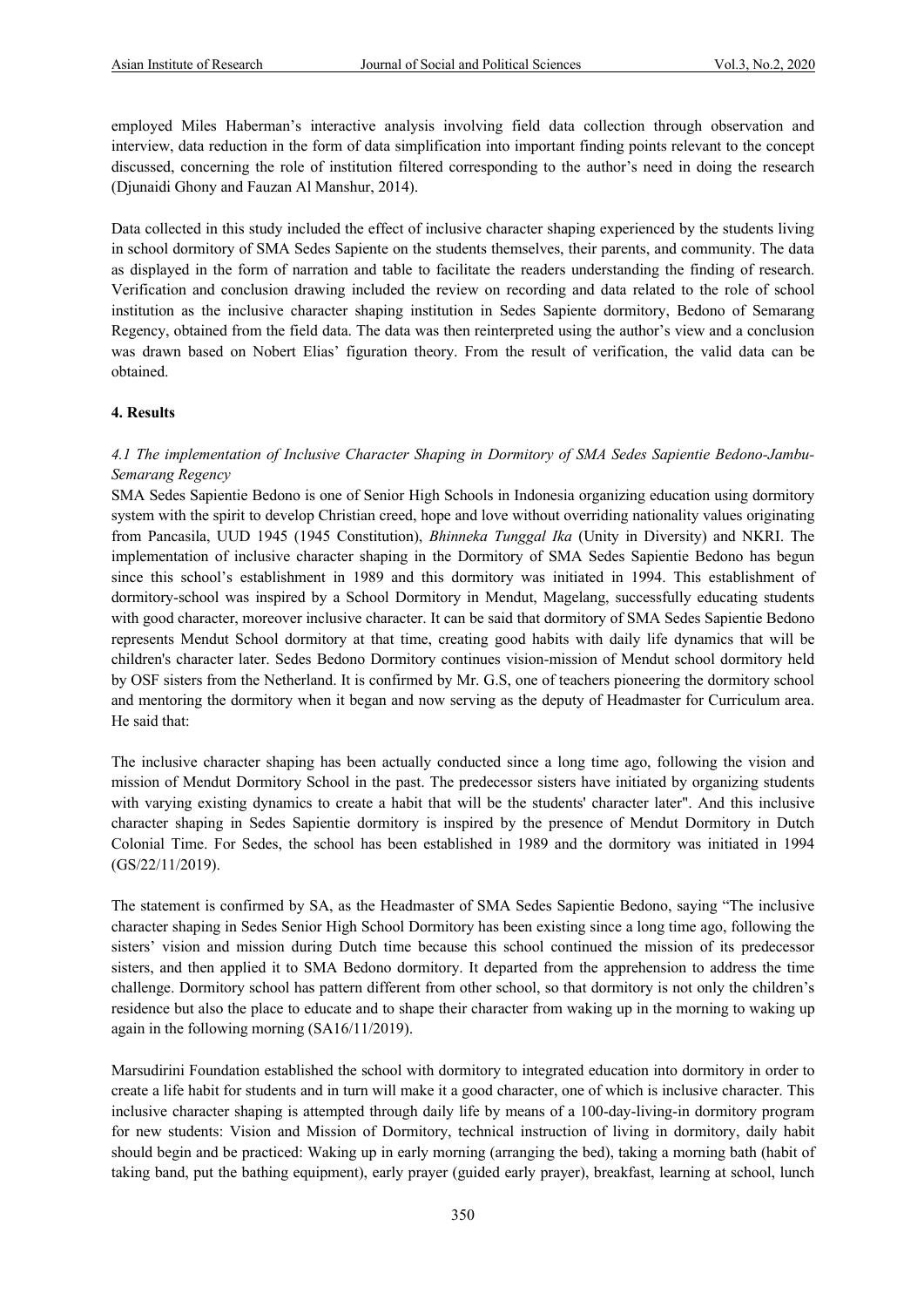employed Miles Haberman's interactive analysis involving field data collection through observation and interview, data reduction in the form of data simplification into important finding points relevant to the concept discussed, concerning the role of institution filtered corresponding to the author's need in doing the research (Djunaidi Ghony and Fauzan Al Manshur, 2014).

Data collected in this study included the effect of inclusive character shaping experienced by the students living in school dormitory of SMA Sedes Sapiente on the students themselves, their parents, and community. The data as displayed in the form of narration and table to facilitate the readers understanding the finding of research. Verification and conclusion drawing included the review on recording and data related to the role of school institution as the inclusive character shaping institution in Sedes Sapiente dormitory, Bedono of Semarang Regency, obtained from the field data. The data was then reinterpreted using the author's view and a conclusion was drawn based on Nobert Elias' figuration theory. From the result of verification, the valid data can be obtained.

#### **4. Results**

### *4.1 The implementation of Inclusive Character Shaping in Dormitory of SMA Sedes Sapientie Bedono-Jambu-Semarang Regency*

SMA Sedes Sapientie Bedono is one of Senior High Schools in Indonesia organizing education using dormitory system with the spirit to develop Christian creed, hope and love without overriding nationality values originating from Pancasila, UUD 1945 (1945 Constitution), *Bhinneka Tunggal Ika* (Unity in Diversity) and NKRI. The implementation of inclusive character shaping in the Dormitory of SMA Sedes Sapientie Bedono has begun since this school's establishment in 1989 and this dormitory was initiated in 1994. This establishment of dormitory-school was inspired by a School Dormitory in Mendut, Magelang, successfully educating students with good character, moreover inclusive character. It can be said that dormitory of SMA Sedes Sapientie Bedono represents Mendut School dormitory at that time, creating good habits with daily life dynamics that will be children's character later. Sedes Bedono Dormitory continues vision-mission of Mendut school dormitory held by OSF sisters from the Netherland. It is confirmed by Mr. G.S, one of teachers pioneering the dormitory school and mentoring the dormitory when it began and now serving as the deputy of Headmaster for Curriculum area. He said that:

The inclusive character shaping has been actually conducted since a long time ago, following the vision and mission of Mendut Dormitory School in the past. The predecessor sisters have initiated by organizing students with varying existing dynamics to create a habit that will be the students' character later". And this inclusive character shaping in Sedes Sapientie dormitory is inspired by the presence of Mendut Dormitory in Dutch Colonial Time. For Sedes, the school has been established in 1989 and the dormitory was initiated in 1994 (GS/22/11/2019).

The statement is confirmed by SA, as the Headmaster of SMA Sedes Sapientie Bedono, saying "The inclusive character shaping in Sedes Senior High School Dormitory has been existing since a long time ago, following the sisters' vision and mission during Dutch time because this school continued the mission of its predecessor sisters, and then applied it to SMA Bedono dormitory. It departed from the apprehension to address the time challenge. Dormitory school has pattern different from other school, so that dormitory is not only the children's residence but also the place to educate and to shape their character from waking up in the morning to waking up again in the following morning (SA16/11/2019).

Marsudirini Foundation established the school with dormitory to integrated education into dormitory in order to create a life habit for students and in turn will make it a good character, one of which is inclusive character. This inclusive character shaping is attempted through daily life by means of a 100-day-living-in dormitory program for new students: Vision and Mission of Dormitory, technical instruction of living in dormitory, daily habit should begin and be practiced: Waking up in early morning (arranging the bed), taking a morning bath (habit of taking band, put the bathing equipment), early prayer (guided early prayer), breakfast, learning at school, lunch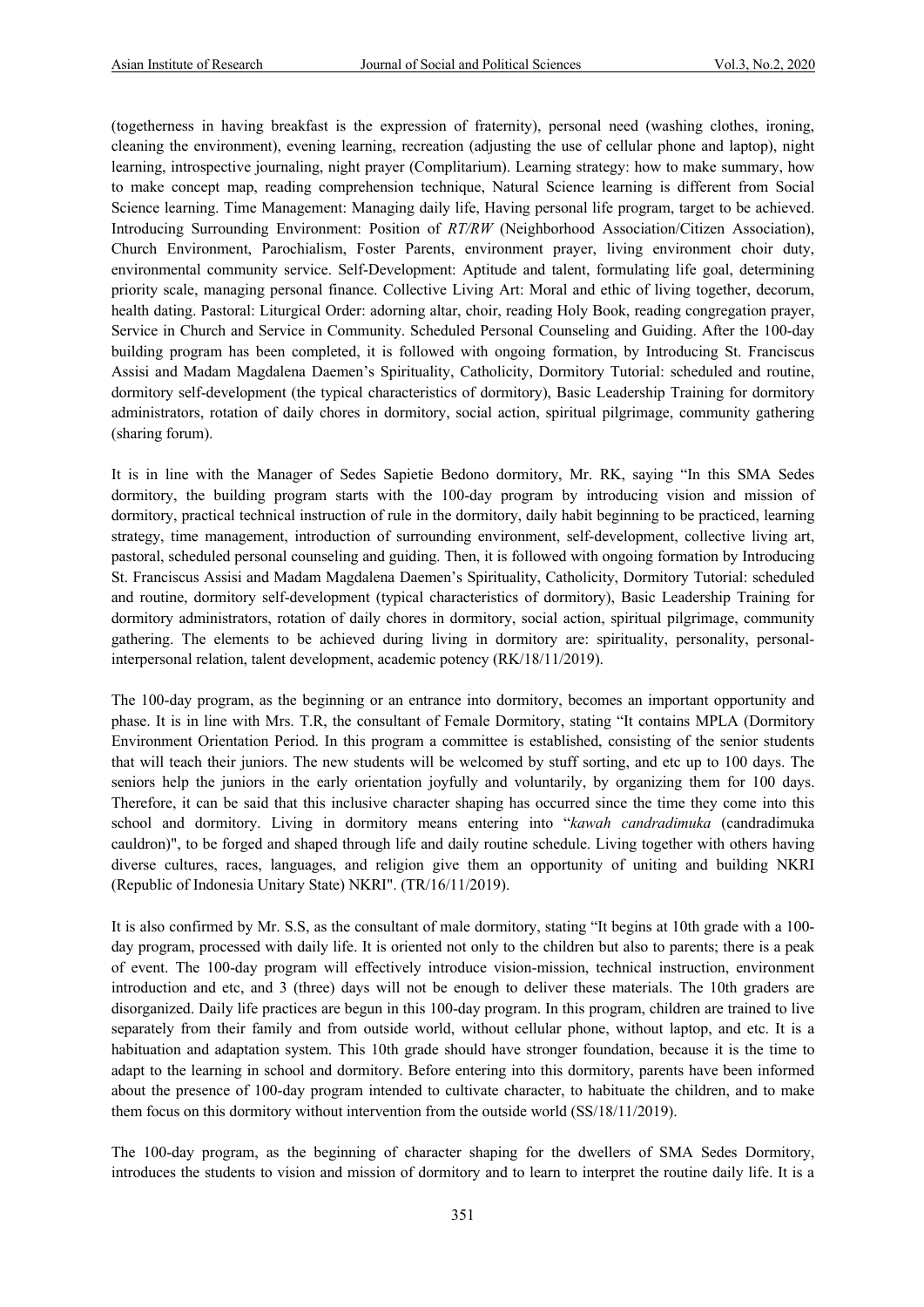(togetherness in having breakfast is the expression of fraternity), personal need (washing clothes, ironing, cleaning the environment), evening learning, recreation (adjusting the use of cellular phone and laptop), night learning, introspective journaling, night prayer (Complitarium). Learning strategy: how to make summary, how to make concept map, reading comprehension technique, Natural Science learning is different from Social Science learning. Time Management: Managing daily life, Having personal life program, target to be achieved. Introducing Surrounding Environment: Position of *RT/RW* (Neighborhood Association/Citizen Association), Church Environment, Parochialism, Foster Parents, environment prayer, living environment choir duty, environmental community service. Self-Development: Aptitude and talent, formulating life goal, determining priority scale, managing personal finance. Collective Living Art: Moral and ethic of living together, decorum, health dating. Pastoral: Liturgical Order: adorning altar, choir, reading Holy Book, reading congregation prayer, Service in Church and Service in Community. Scheduled Personal Counseling and Guiding. After the 100-day building program has been completed, it is followed with ongoing formation, by Introducing St. Franciscus Assisi and Madam Magdalena Daemen's Spirituality, Catholicity, Dormitory Tutorial: scheduled and routine, dormitory self-development (the typical characteristics of dormitory), Basic Leadership Training for dormitory administrators, rotation of daily chores in dormitory, social action, spiritual pilgrimage, community gathering (sharing forum).

It is in line with the Manager of Sedes Sapietie Bedono dormitory, Mr. RK, saying "In this SMA Sedes dormitory, the building program starts with the 100-day program by introducing vision and mission of dormitory, practical technical instruction of rule in the dormitory, daily habit beginning to be practiced, learning strategy, time management, introduction of surrounding environment, self-development, collective living art, pastoral, scheduled personal counseling and guiding. Then, it is followed with ongoing formation by Introducing St. Franciscus Assisi and Madam Magdalena Daemen's Spirituality, Catholicity, Dormitory Tutorial: scheduled and routine, dormitory self-development (typical characteristics of dormitory), Basic Leadership Training for dormitory administrators, rotation of daily chores in dormitory, social action, spiritual pilgrimage, community gathering. The elements to be achieved during living in dormitory are: spirituality, personality, personalinterpersonal relation, talent development, academic potency (RK/18/11/2019).

The 100-day program, as the beginning or an entrance into dormitory, becomes an important opportunity and phase. It is in line with Mrs. T.R, the consultant of Female Dormitory, stating "It contains MPLA (Dormitory Environment Orientation Period. In this program a committee is established, consisting of the senior students that will teach their juniors. The new students will be welcomed by stuff sorting, and etc up to 100 days. The seniors help the juniors in the early orientation joyfully and voluntarily, by organizing them for 100 days. Therefore, it can be said that this inclusive character shaping has occurred since the time they come into this school and dormitory. Living in dormitory means entering into "*kawah candradimuka* (candradimuka cauldron)", to be forged and shaped through life and daily routine schedule. Living together with others having diverse cultures, races, languages, and religion give them an opportunity of uniting and building NKRI (Republic of Indonesia Unitary State) NKRI". (TR/16/11/2019).

It is also confirmed by Mr. S.S, as the consultant of male dormitory, stating "It begins at 10th grade with a 100 day program, processed with daily life. It is oriented not only to the children but also to parents; there is a peak of event. The 100-day program will effectively introduce vision-mission, technical instruction, environment introduction and etc, and 3 (three) days will not be enough to deliver these materials. The 10th graders are disorganized. Daily life practices are begun in this 100-day program. In this program, children are trained to live separately from their family and from outside world, without cellular phone, without laptop, and etc. It is a habituation and adaptation system. This 10th grade should have stronger foundation, because it is the time to adapt to the learning in school and dormitory. Before entering into this dormitory, parents have been informed about the presence of 100-day program intended to cultivate character, to habituate the children, and to make them focus on this dormitory without intervention from the outside world (SS/18/11/2019).

The 100-day program, as the beginning of character shaping for the dwellers of SMA Sedes Dormitory, introduces the students to vision and mission of dormitory and to learn to interpret the routine daily life. It is a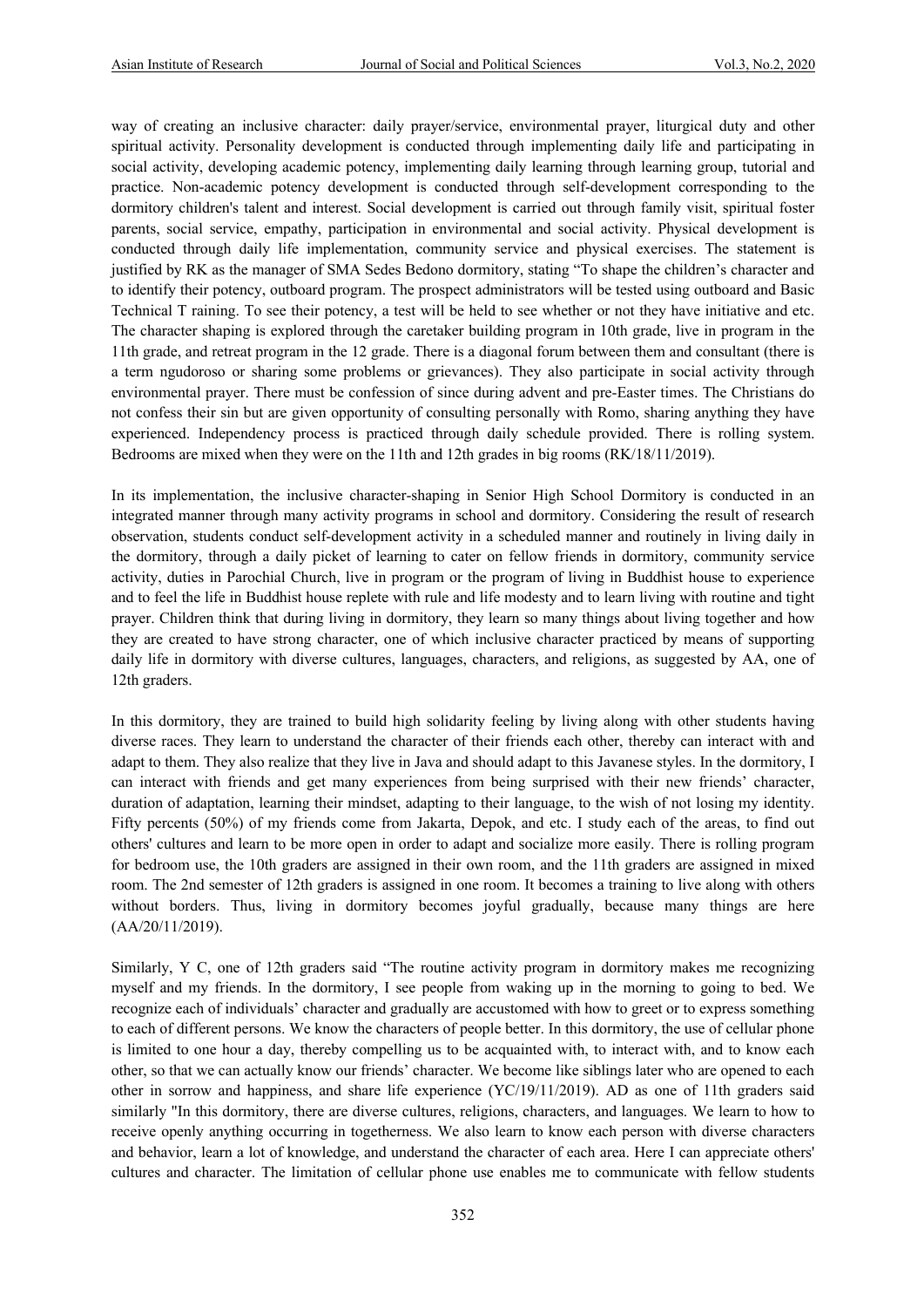way of creating an inclusive character: daily prayer/service, environmental prayer, liturgical duty and other spiritual activity. Personality development is conducted through implementing daily life and participating in social activity, developing academic potency, implementing daily learning through learning group, tutorial and practice. Non-academic potency development is conducted through self-development corresponding to the dormitory children's talent and interest. Social development is carried out through family visit, spiritual foster parents, social service, empathy, participation in environmental and social activity. Physical development is conducted through daily life implementation, community service and physical exercises. The statement is justified by RK as the manager of SMA Sedes Bedono dormitory, stating "To shape the children's character and to identify their potency, outboard program. The prospect administrators will be tested using outboard and Basic Technical T raining. To see their potency, a test will be held to see whether or not they have initiative and etc. The character shaping is explored through the caretaker building program in 10th grade, live in program in the 11th grade, and retreat program in the 12 grade. There is a diagonal forum between them and consultant (there is a term ngudoroso or sharing some problems or grievances). They also participate in social activity through environmental prayer. There must be confession of since during advent and pre-Easter times. The Christians do not confess their sin but are given opportunity of consulting personally with Romo, sharing anything they have experienced. Independency process is practiced through daily schedule provided. There is rolling system. Bedrooms are mixed when they were on the 11th and 12th grades in big rooms (RK/18/11/2019).

In its implementation, the inclusive character-shaping in Senior High School Dormitory is conducted in an integrated manner through many activity programs in school and dormitory. Considering the result of research observation, students conduct self-development activity in a scheduled manner and routinely in living daily in the dormitory, through a daily picket of learning to cater on fellow friends in dormitory, community service activity, duties in Parochial Church, live in program or the program of living in Buddhist house to experience and to feel the life in Buddhist house replete with rule and life modesty and to learn living with routine and tight prayer. Children think that during living in dormitory, they learn so many things about living together and how they are created to have strong character, one of which inclusive character practiced by means of supporting daily life in dormitory with diverse cultures, languages, characters, and religions, as suggested by AA, one of 12th graders.

In this dormitory, they are trained to build high solidarity feeling by living along with other students having diverse races. They learn to understand the character of their friends each other, thereby can interact with and adapt to them. They also realize that they live in Java and should adapt to this Javanese styles. In the dormitory, I can interact with friends and get many experiences from being surprised with their new friends' character, duration of adaptation, learning their mindset, adapting to their language, to the wish of not losing my identity. Fifty percents (50%) of my friends come from Jakarta, Depok, and etc. I study each of the areas, to find out others' cultures and learn to be more open in order to adapt and socialize more easily. There is rolling program for bedroom use, the 10th graders are assigned in their own room, and the 11th graders are assigned in mixed room. The 2nd semester of 12th graders is assigned in one room. It becomes a training to live along with others without borders. Thus, living in dormitory becomes joyful gradually, because many things are here (AA/20/11/2019).

Similarly, Y C, one of 12th graders said "The routine activity program in dormitory makes me recognizing myself and my friends. In the dormitory, I see people from waking up in the morning to going to bed. We recognize each of individuals' character and gradually are accustomed with how to greet or to express something to each of different persons. We know the characters of people better. In this dormitory, the use of cellular phone is limited to one hour a day, thereby compelling us to be acquainted with, to interact with, and to know each other, so that we can actually know our friends' character. We become like siblings later who are opened to each other in sorrow and happiness, and share life experience (YC/19/11/2019). AD as one of 11th graders said similarly "In this dormitory, there are diverse cultures, religions, characters, and languages. We learn to how to receive openly anything occurring in togetherness. We also learn to know each person with diverse characters and behavior, learn a lot of knowledge, and understand the character of each area. Here I can appreciate others' cultures and character. The limitation of cellular phone use enables me to communicate with fellow students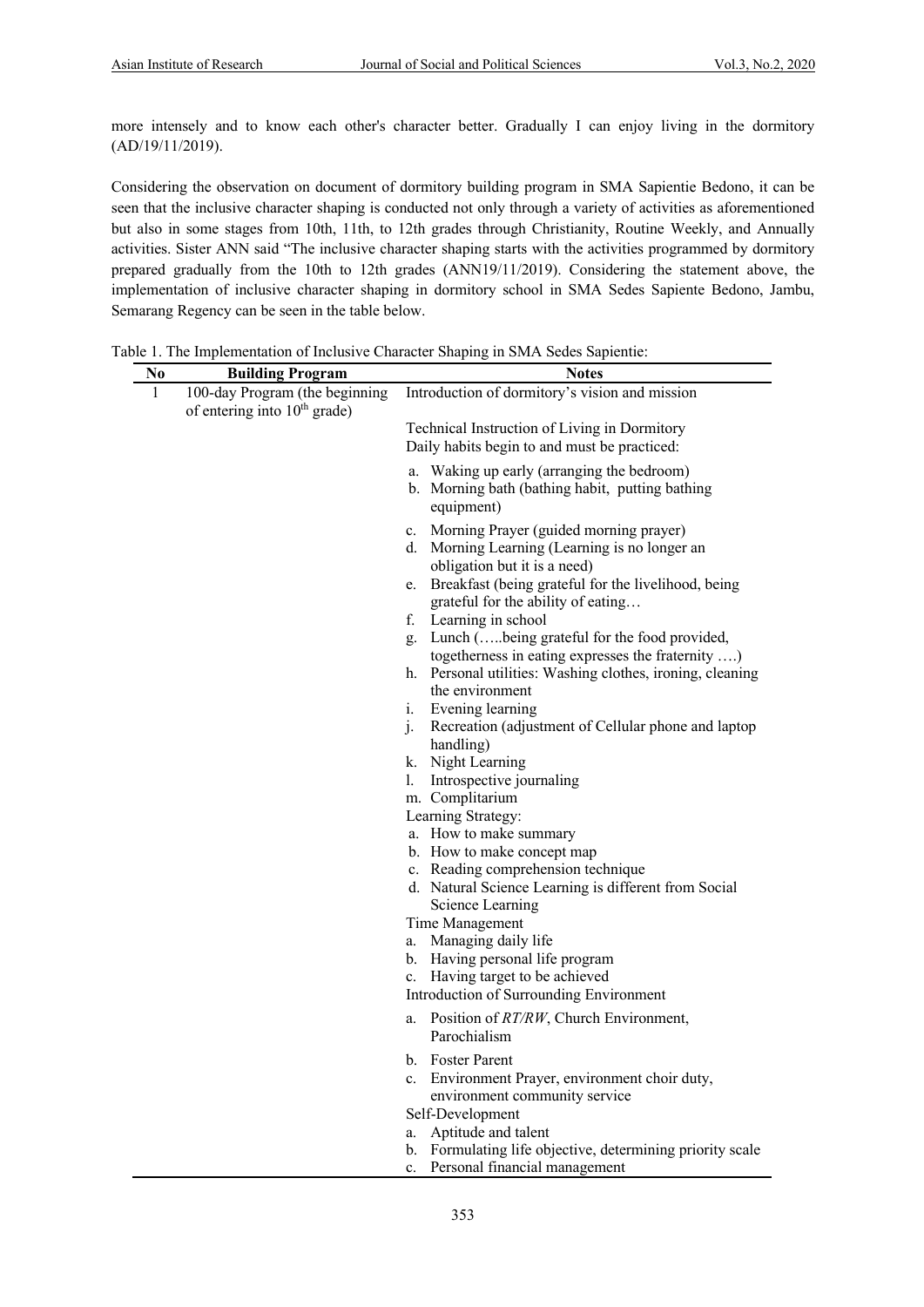more intensely and to know each other's character better. Gradually I can enjoy living in the dormitory (AD/19/11/2019).

Considering the observation on document of dormitory building program in SMA Sapientie Bedono, it can be seen that the inclusive character shaping is conducted not only through a variety of activities as aforementioned but also in some stages from 10th, 11th, to 12th grades through Christianity, Routine Weekly, and Annually activities. Sister ANN said "The inclusive character shaping starts with the activities programmed by dormitory prepared gradually from the 10th to 12th grades (ANN19/11/2019). Considering the statement above, the implementation of inclusive character shaping in dormitory school in SMA Sedes Sapiente Bedono, Jambu, Semarang Regency can be seen in the table below.

Table 1. The Implementation of Inclusive Character Shaping in SMA Sedes Sapientie:

| No           | <b>Building Program</b>        | reference the impression of therefore changeler shaping in start seeds supremie.<br><b>Notes</b> |
|--------------|--------------------------------|--------------------------------------------------------------------------------------------------|
| $\mathbf{1}$ | 100-day Program (the beginning | Introduction of dormitory's vision and mission                                                   |
|              | of entering into $10th$ grade) |                                                                                                  |
|              |                                | Technical Instruction of Living in Dormitory                                                     |
|              |                                | Daily habits begin to and must be practiced:                                                     |
|              |                                | a. Waking up early (arranging the bedroom)                                                       |
|              |                                | b. Morning bath (bathing habit, putting bathing                                                  |
|              |                                | equipment)                                                                                       |
|              |                                |                                                                                                  |
|              |                                | c. Morning Prayer (guided morning prayer)<br>d. Morning Learning (Learning is no longer an       |
|              |                                | obligation but it is a need)                                                                     |
|              |                                | e. Breakfast (being grateful for the livelihood, being                                           |
|              |                                | grateful for the ability of eating                                                               |
|              |                                | f. Learning in school                                                                            |
|              |                                | g. Lunch (being grateful for the food provided,                                                  |
|              |                                | togetherness in eating expresses the fraternity )                                                |
|              |                                | h. Personal utilities: Washing clothes, ironing, cleaning                                        |
|              |                                | the environment                                                                                  |
|              |                                | i. Evening learning                                                                              |
|              |                                | j. Recreation (adjustment of Cellular phone and laptop                                           |
|              |                                | handling)                                                                                        |
|              |                                | k. Night Learning<br>1. Introspective journaling                                                 |
|              |                                | m. Complitarium                                                                                  |
|              |                                | Learning Strategy:                                                                               |
|              |                                | a. How to make summary                                                                           |
|              |                                | b. How to make concept map                                                                       |
|              |                                | c. Reading comprehension technique                                                               |
|              |                                | d. Natural Science Learning is different from Social                                             |
|              |                                | Science Learning                                                                                 |
|              |                                | Time Management                                                                                  |
|              |                                | a. Managing daily life                                                                           |
|              |                                | b. Having personal life program<br>c. Having target to be achieved                               |
|              |                                | Introduction of Surrounding Environment                                                          |
|              |                                |                                                                                                  |
|              |                                | a. Position of RT/RW, Church Environment,                                                        |
|              |                                | Parochialism                                                                                     |
|              |                                | b. Foster Parent                                                                                 |
|              |                                | Environment Prayer, environment choir duty,<br>$c_{\cdot}$                                       |
|              |                                | environment community service                                                                    |
|              |                                | Self-Development<br>Aptitude and talent                                                          |
|              |                                | a.<br>Formulating life objective, determining priority scale<br>b.                               |
|              |                                | Personal financial management<br>$\mathbf{c}$ .                                                  |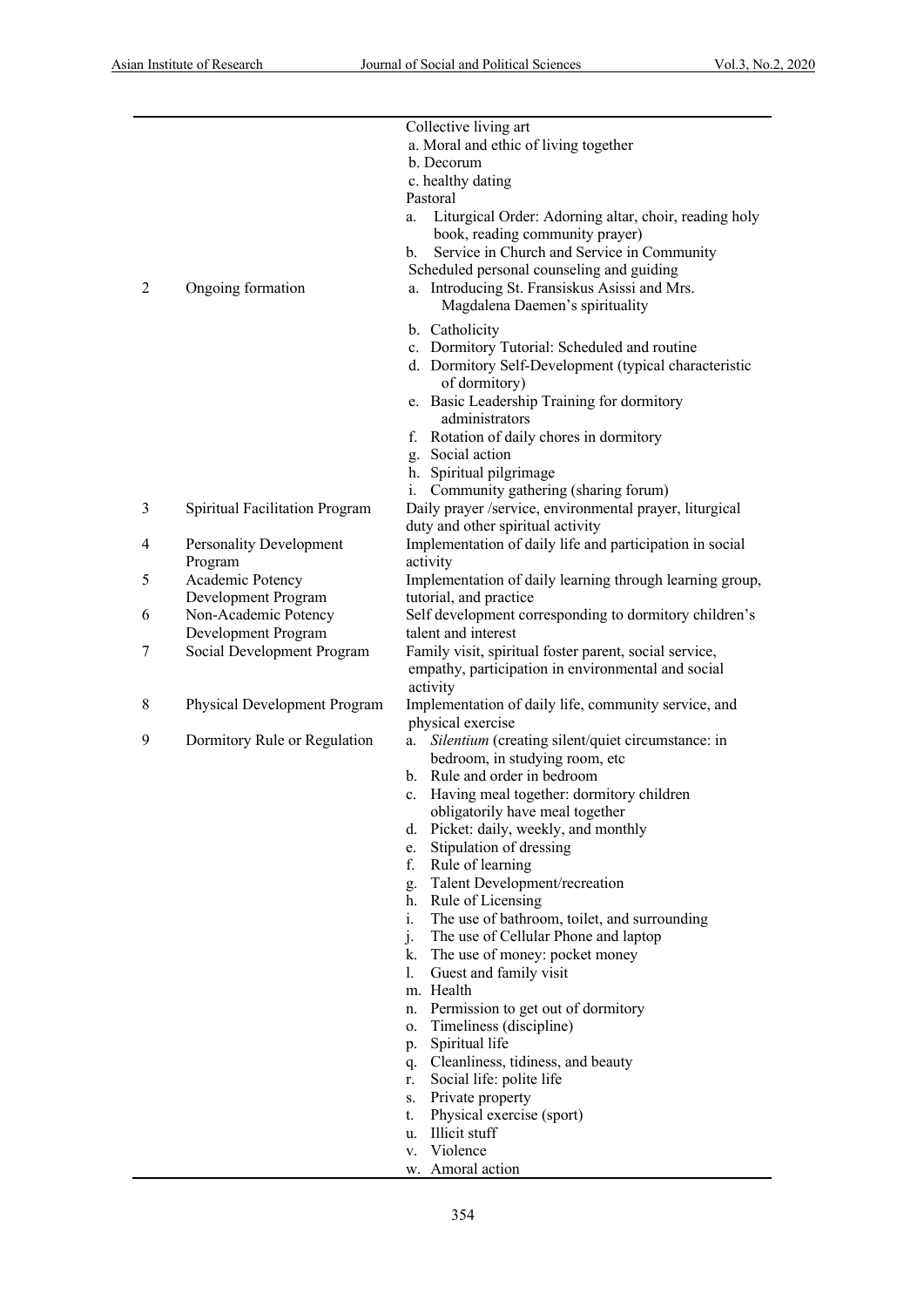|                |                                | Collective living art                                        |
|----------------|--------------------------------|--------------------------------------------------------------|
|                |                                | a. Moral and ethic of living together                        |
|                |                                | b. Decorum                                                   |
|                |                                | c. healthy dating                                            |
|                |                                | Pastoral                                                     |
|                |                                | Liturgical Order: Adorning altar, choir, reading holy<br>a.  |
|                |                                | book, reading community prayer)                              |
|                |                                |                                                              |
|                |                                | Service in Church and Service in Community<br>$\mathbf{b}$ . |
|                |                                | Scheduled personal counseling and guiding                    |
| $\overline{c}$ | Ongoing formation              | a. Introducing St. Fransiskus Asissi and Mrs.                |
|                |                                | Magdalena Daemen's spirituality                              |
|                |                                | b. Catholicity                                               |
|                |                                | c. Dormitory Tutorial: Scheduled and routine                 |
|                |                                | d. Dormitory Self-Development (typical characteristic        |
|                |                                | of dormitory)                                                |
|                |                                | e. Basic Leadership Training for dormitory                   |
|                |                                | administrators                                               |
|                |                                | f. Rotation of daily chores in dormitory                     |
|                |                                | g. Social action                                             |
|                |                                |                                                              |
|                |                                | h. Spiritual pilgrimage                                      |
|                |                                | Community gathering (sharing forum)                          |
| 3              | Spiritual Facilitation Program | Daily prayer /service, environmental prayer, liturgical      |
|                |                                | duty and other spiritual activity                            |
| 4              | Personality Development        | Implementation of daily life and participation in social     |
|                | Program                        | activity                                                     |
| 5              | Academic Potency               | Implementation of daily learning through learning group,     |
|                | Development Program            | tutorial, and practice                                       |
| 6              | Non-Academic Potency           | Self development corresponding to dormitory children's       |
|                | Development Program            | talent and interest                                          |
| 7              | Social Development Program     | Family visit, spiritual foster parent, social service,       |
|                |                                | empathy, participation in environmental and social           |
|                |                                | activity                                                     |
| 8              | Physical Development Program   | Implementation of daily life, community service, and         |
|                |                                | physical exercise                                            |
| 9              |                                |                                                              |
|                | Dormitory Rule or Regulation   | Silentium (creating silent/quiet circumstance: in<br>a.      |
|                |                                | bedroom, in studying room, etc                               |
|                |                                | b. Rule and order in bedroom                                 |
|                |                                | c. Having meal together: dormitory children                  |
|                |                                | obligatorily have meal together                              |
|                |                                | d. Picket: daily, weekly, and monthly                        |
|                |                                | Stipulation of dressing<br>e.                                |
|                |                                | f.<br>Rule of learning                                       |
|                |                                | g. Talent Development/recreation                             |
|                |                                | h. Rule of Licensing                                         |
|                |                                | $i$ .<br>The use of bathroom, toilet, and surrounding        |
|                |                                | The use of Cellular Phone and laptop<br>j.                   |
|                |                                | k. The use of money: pocket money                            |
|                |                                | 1.<br>Guest and family visit                                 |
|                |                                | m. Health                                                    |
|                |                                |                                                              |
|                |                                | n. Permission to get out of dormitory                        |
|                |                                | Timeliness (discipline)<br>0.                                |
|                |                                | Spiritual life<br>p.                                         |
|                |                                | Cleanliness, tidiness, and beauty<br>q.                      |
|                |                                | Social life: polite life<br>r.                               |
|                |                                | Private property<br>S.                                       |
|                |                                | Physical exercise (sport)<br>t.                              |
|                |                                | Illicit stuff<br>u.                                          |
|                |                                | Violence<br>V.                                               |
|                |                                | Amoral action<br>w.                                          |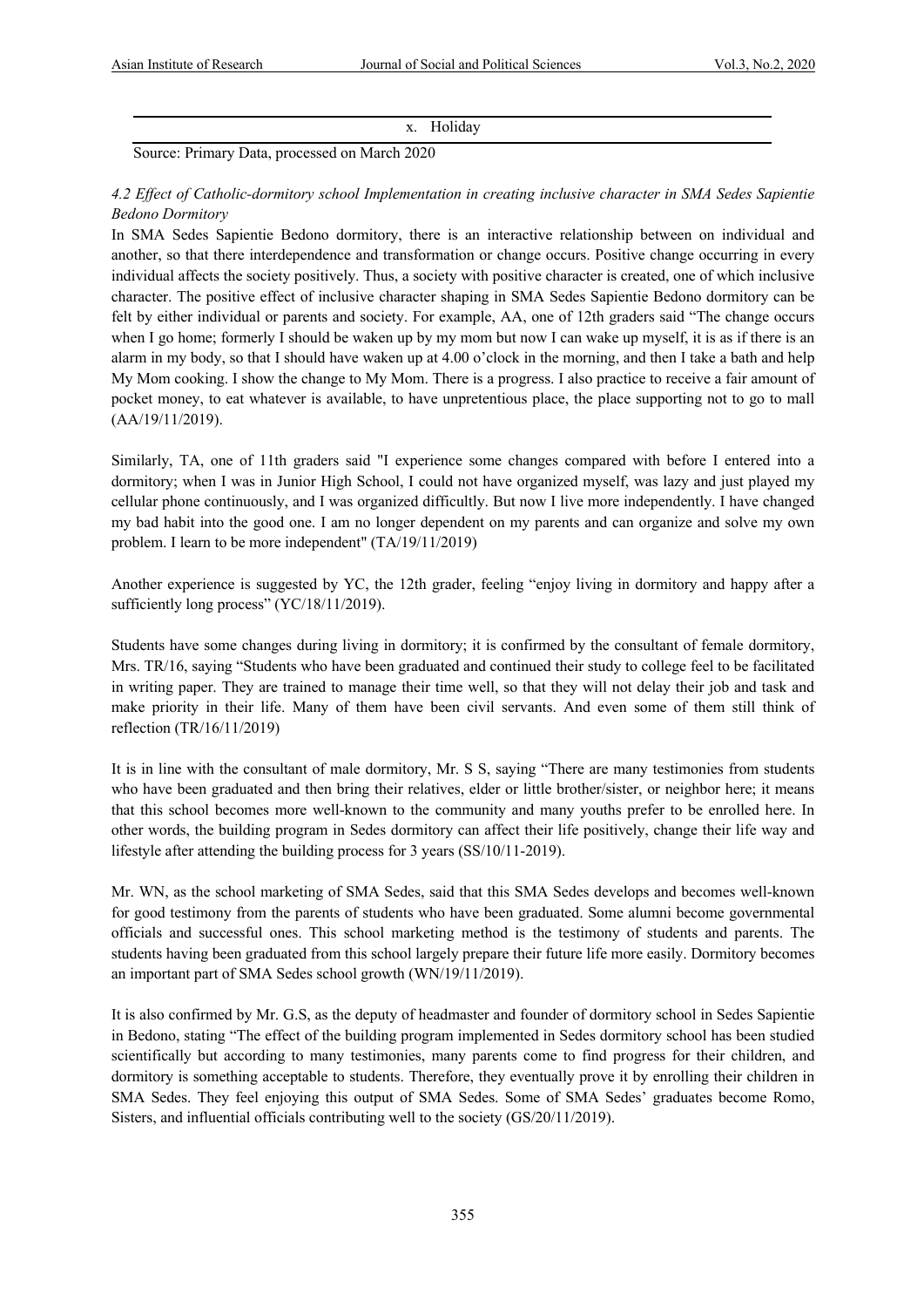x. Holiday

Source: Primary Data, processed on March 2020

*4.2 Effect of Catholic-dormitory school Implementation in creating inclusive character in SMA Sedes Sapientie Bedono Dormitory*

In SMA Sedes Sapientie Bedono dormitory, there is an interactive relationship between on individual and another, so that there interdependence and transformation or change occurs. Positive change occurring in every individual affects the society positively. Thus, a society with positive character is created, one of which inclusive character. The positive effect of inclusive character shaping in SMA Sedes Sapientie Bedono dormitory can be felt by either individual or parents and society. For example, AA, one of 12th graders said "The change occurs when I go home; formerly I should be waken up by my mom but now I can wake up myself, it is as if there is an alarm in my body, so that I should have waken up at 4.00 o'clock in the morning, and then I take a bath and help My Mom cooking. I show the change to My Mom. There is a progress. I also practice to receive a fair amount of pocket money, to eat whatever is available, to have unpretentious place, the place supporting not to go to mall (AA/19/11/2019).

Similarly, TA, one of 11th graders said "I experience some changes compared with before I entered into a dormitory; when I was in Junior High School, I could not have organized myself, was lazy and just played my cellular phone continuously, and I was organized difficultly. But now I live more independently. I have changed my bad habit into the good one. I am no longer dependent on my parents and can organize and solve my own problem. I learn to be more independent" (TA/19/11/2019)

Another experience is suggested by YC, the 12th grader, feeling "enjoy living in dormitory and happy after a sufficiently long process" (YC/18/11/2019).

Students have some changes during living in dormitory; it is confirmed by the consultant of female dormitory, Mrs. TR/16, saying "Students who have been graduated and continued their study to college feel to be facilitated in writing paper. They are trained to manage their time well, so that they will not delay their job and task and make priority in their life. Many of them have been civil servants. And even some of them still think of reflection (TR/16/11/2019)

It is in line with the consultant of male dormitory, Mr. S S, saying "There are many testimonies from students who have been graduated and then bring their relatives, elder or little brother/sister, or neighbor here; it means that this school becomes more well-known to the community and many youths prefer to be enrolled here. In other words, the building program in Sedes dormitory can affect their life positively, change their life way and lifestyle after attending the building process for 3 years (SS/10/11-2019).

Mr. WN, as the school marketing of SMA Sedes, said that this SMA Sedes develops and becomes well-known for good testimony from the parents of students who have been graduated. Some alumni become governmental officials and successful ones. This school marketing method is the testimony of students and parents. The students having been graduated from this school largely prepare their future life more easily. Dormitory becomes an important part of SMA Sedes school growth (WN/19/11/2019).

It is also confirmed by Mr. G.S, as the deputy of headmaster and founder of dormitory school in Sedes Sapientie in Bedono, stating "The effect of the building program implemented in Sedes dormitory school has been studied scientifically but according to many testimonies, many parents come to find progress for their children, and dormitory is something acceptable to students. Therefore, they eventually prove it by enrolling their children in SMA Sedes. They feel enjoying this output of SMA Sedes. Some of SMA Sedes' graduates become Romo, Sisters, and influential officials contributing well to the society (GS/20/11/2019).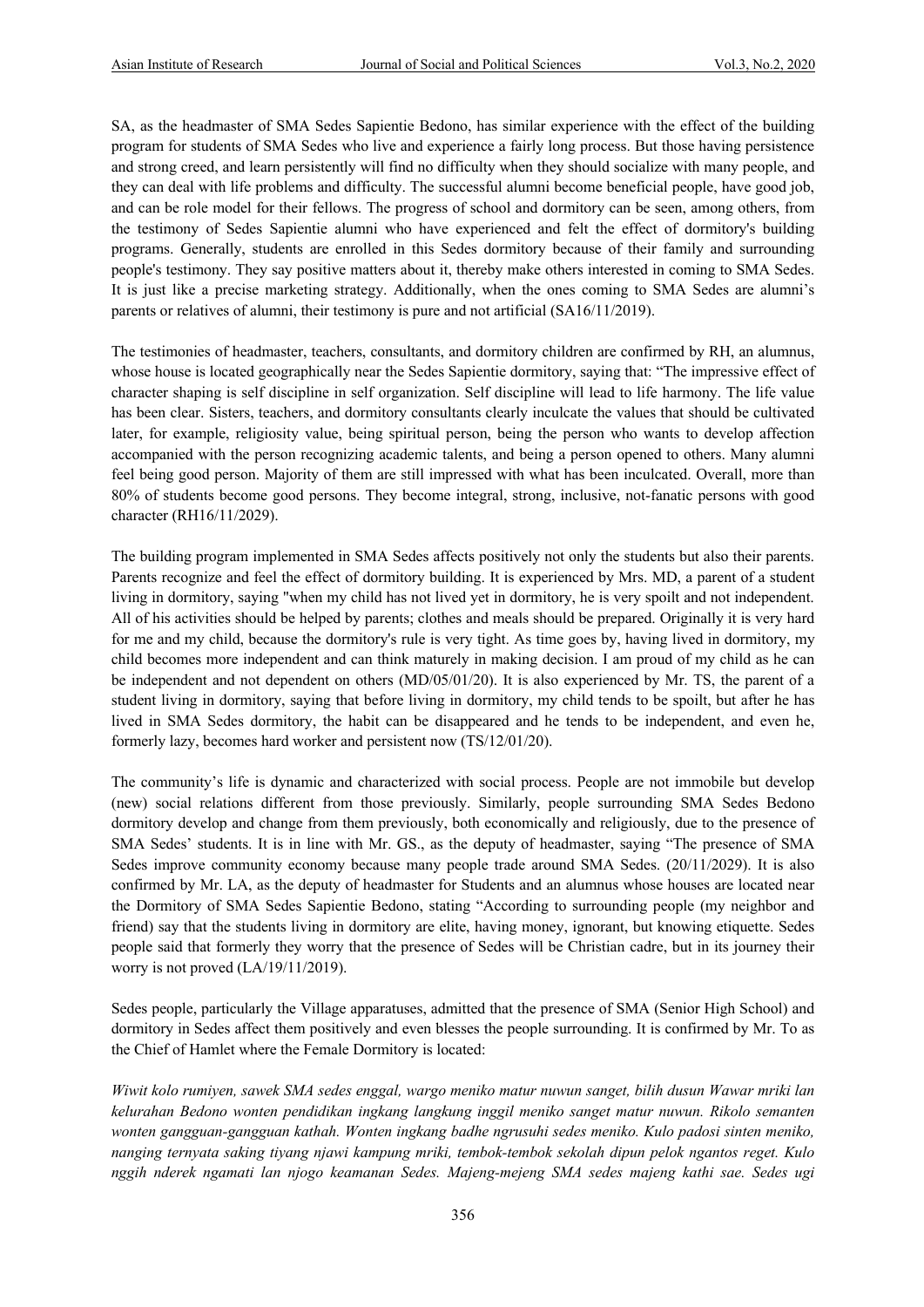SA, as the headmaster of SMA Sedes Sapientie Bedono, has similar experience with the effect of the building program for students of SMA Sedes who live and experience a fairly long process. But those having persistence and strong creed, and learn persistently will find no difficulty when they should socialize with many people, and they can deal with life problems and difficulty. The successful alumni become beneficial people, have good job, and can be role model for their fellows. The progress of school and dormitory can be seen, among others, from the testimony of Sedes Sapientie alumni who have experienced and felt the effect of dormitory's building programs. Generally, students are enrolled in this Sedes dormitory because of their family and surrounding people's testimony. They say positive matters about it, thereby make others interested in coming to SMA Sedes. It is just like a precise marketing strategy. Additionally, when the ones coming to SMA Sedes are alumni's parents or relatives of alumni, their testimony is pure and not artificial (SA16/11/2019).

The testimonies of headmaster, teachers, consultants, and dormitory children are confirmed by RH, an alumnus, whose house is located geographically near the Sedes Sapientie dormitory, saying that: "The impressive effect of character shaping is self discipline in self organization. Self discipline will lead to life harmony. The life value has been clear. Sisters, teachers, and dormitory consultants clearly inculcate the values that should be cultivated later, for example, religiosity value, being spiritual person, being the person who wants to develop affection accompanied with the person recognizing academic talents, and being a person opened to others. Many alumni feel being good person. Majority of them are still impressed with what has been inculcated. Overall, more than 80% of students become good persons. They become integral, strong, inclusive, not-fanatic persons with good character (RH16/11/2029).

The building program implemented in SMA Sedes affects positively not only the students but also their parents. Parents recognize and feel the effect of dormitory building. It is experienced by Mrs. MD, a parent of a student living in dormitory, saying "when my child has not lived yet in dormitory, he is very spoilt and not independent. All of his activities should be helped by parents; clothes and meals should be prepared. Originally it is very hard for me and my child, because the dormitory's rule is very tight. As time goes by, having lived in dormitory, my child becomes more independent and can think maturely in making decision. I am proud of my child as he can be independent and not dependent on others (MD/05/01/20). It is also experienced by Mr. TS, the parent of a student living in dormitory, saying that before living in dormitory, my child tends to be spoilt, but after he has lived in SMA Sedes dormitory, the habit can be disappeared and he tends to be independent, and even he, formerly lazy, becomes hard worker and persistent now (TS/12/01/20).

The community's life is dynamic and characterized with social process. People are not immobile but develop (new) social relations different from those previously. Similarly, people surrounding SMA Sedes Bedono dormitory develop and change from them previously, both economically and religiously, due to the presence of SMA Sedes' students. It is in line with Mr. GS., as the deputy of headmaster, saying "The presence of SMA Sedes improve community economy because many people trade around SMA Sedes. (20/11/2029). It is also confirmed by Mr. LA, as the deputy of headmaster for Students and an alumnus whose houses are located near the Dormitory of SMA Sedes Sapientie Bedono, stating "According to surrounding people (my neighbor and friend) say that the students living in dormitory are elite, having money, ignorant, but knowing etiquette. Sedes people said that formerly they worry that the presence of Sedes will be Christian cadre, but in its journey their worry is not proved (LA/19/11/2019).

Sedes people, particularly the Village apparatuses, admitted that the presence of SMA (Senior High School) and dormitory in Sedes affect them positively and even blesses the people surrounding. It is confirmed by Mr. To as the Chief of Hamlet where the Female Dormitory is located:

*Wiwit kolo rumiyen, sawek SMA sedes enggal, wargo meniko matur nuwun sanget, bilih dusun Wawar mriki lan kelurahan Bedono wonten pendidikan ingkang langkung inggil meniko sanget matur nuwun. Rikolo semanten wonten gangguan-gangguan kathah. Wonten ingkang badhe ngrusuhi sedes meniko. Kulo padosi sinten meniko, nanging ternyata saking tiyang njawi kampung mriki, tembok-tembok sekolah dipun pelok ngantos reget. Kulo nggih nderek ngamati lan njogo keamanan Sedes. Majeng-mejeng SMA sedes majeng kathi sae. Sedes ugi*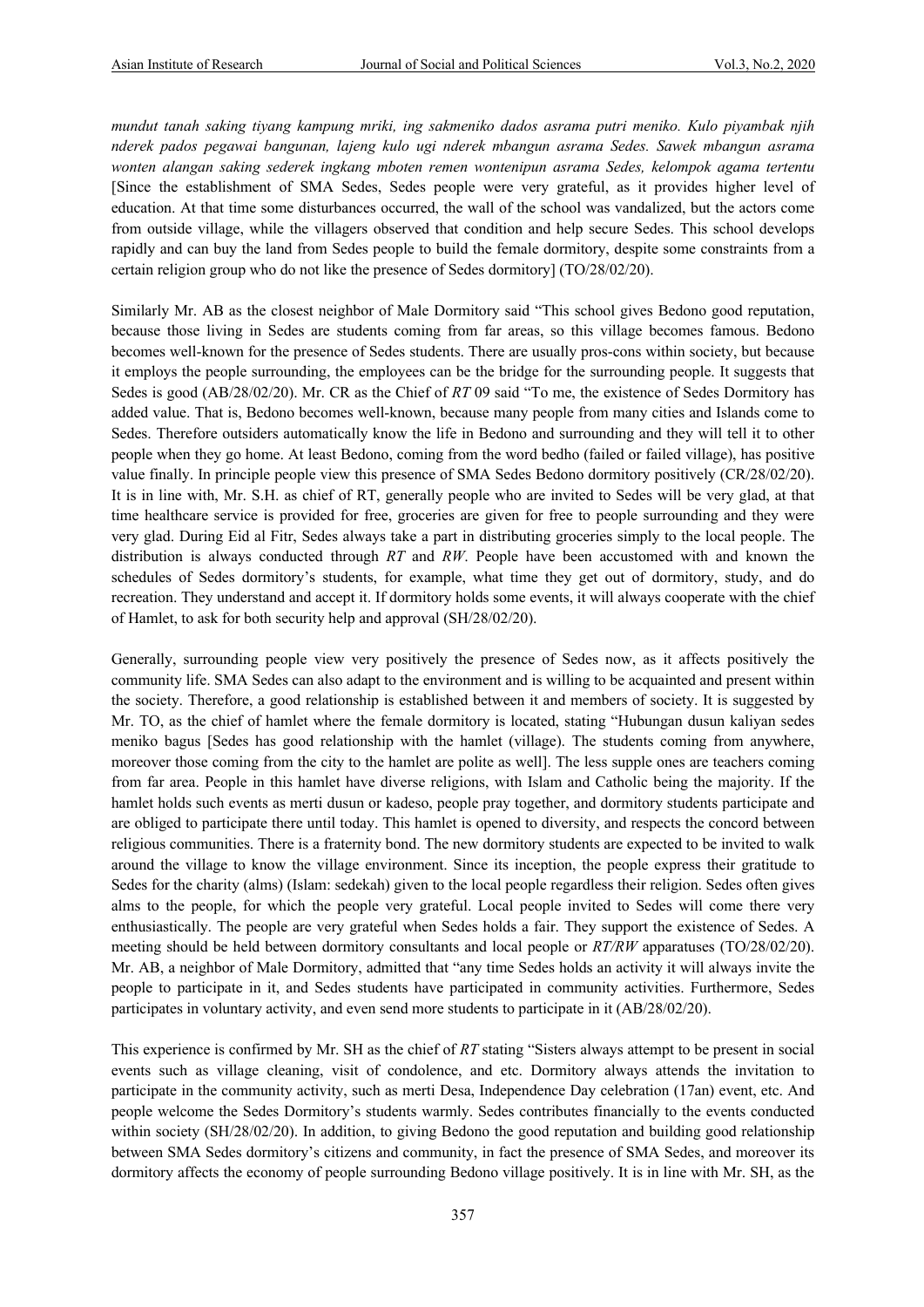*mundut tanah saking tiyang kampung mriki, ing sakmeniko dados asrama putri meniko. Kulo piyambak njih nderek pados pegawai bangunan, lajeng kulo ugi nderek mbangun asrama Sedes. Sawek mbangun asrama wonten alangan saking sederek ingkang mboten remen wontenipun asrama Sedes, kelompok agama tertentu* [Since the establishment of SMA Sedes, Sedes people were very grateful, as it provides higher level of education. At that time some disturbances occurred, the wall of the school was vandalized, but the actors come from outside village, while the villagers observed that condition and help secure Sedes. This school develops rapidly and can buy the land from Sedes people to build the female dormitory, despite some constraints from a certain religion group who do not like the presence of Sedes dormitory] (TO/28/02/20).

Similarly Mr. AB as the closest neighbor of Male Dormitory said "This school gives Bedono good reputation, because those living in Sedes are students coming from far areas, so this village becomes famous. Bedono becomes well-known for the presence of Sedes students. There are usually pros-cons within society, but because it employs the people surrounding, the employees can be the bridge for the surrounding people. It suggests that Sedes is good (AB/28/02/20). Mr. CR as the Chief of *RT* 09 said "To me, the existence of Sedes Dormitory has added value. That is, Bedono becomes well-known, because many people from many cities and Islands come to Sedes. Therefore outsiders automatically know the life in Bedono and surrounding and they will tell it to other people when they go home. At least Bedono, coming from the word bedho (failed or failed village), has positive value finally. In principle people view this presence of SMA Sedes Bedono dormitory positively (CR/28/02/20). It is in line with, Mr. S.H. as chief of RT, generally people who are invited to Sedes will be very glad, at that time healthcare service is provided for free, groceries are given for free to people surrounding and they were very glad. During Eid al Fitr, Sedes always take a part in distributing groceries simply to the local people. The distribution is always conducted through *RT* and *RW*. People have been accustomed with and known the schedules of Sedes dormitory's students, for example, what time they get out of dormitory, study, and do recreation. They understand and accept it. If dormitory holds some events, it will always cooperate with the chief of Hamlet, to ask for both security help and approval (SH/28/02/20).

Generally, surrounding people view very positively the presence of Sedes now, as it affects positively the community life. SMA Sedes can also adapt to the environment and is willing to be acquainted and present within the society. Therefore, a good relationship is established between it and members of society. It is suggested by Mr. TO, as the chief of hamlet where the female dormitory is located, stating "Hubungan dusun kaliyan sedes meniko bagus [Sedes has good relationship with the hamlet (village). The students coming from anywhere, moreover those coming from the city to the hamlet are polite as well]. The less supple ones are teachers coming from far area. People in this hamlet have diverse religions, with Islam and Catholic being the majority. If the hamlet holds such events as merti dusun or kadeso, people pray together, and dormitory students participate and are obliged to participate there until today. This hamlet is opened to diversity, and respects the concord between religious communities. There is a fraternity bond. The new dormitory students are expected to be invited to walk around the village to know the village environment. Since its inception, the people express their gratitude to Sedes for the charity (alms) (Islam: sedekah) given to the local people regardless their religion. Sedes often gives alms to the people, for which the people very grateful. Local people invited to Sedes will come there very enthusiastically. The people are very grateful when Sedes holds a fair. They support the existence of Sedes. A meeting should be held between dormitory consultants and local people or *RT/RW* apparatuses (TO/28/02/20). Mr. AB, a neighbor of Male Dormitory, admitted that "any time Sedes holds an activity it will always invite the people to participate in it, and Sedes students have participated in community activities. Furthermore, Sedes participates in voluntary activity, and even send more students to participate in it (AB/28/02/20).

This experience is confirmed by Mr. SH as the chief of *RT* stating "Sisters always attempt to be present in social events such as village cleaning, visit of condolence, and etc. Dormitory always attends the invitation to participate in the community activity, such as merti Desa, Independence Day celebration (17an) event, etc. And people welcome the Sedes Dormitory's students warmly. Sedes contributes financially to the events conducted within society (SH/28/02/20). In addition, to giving Bedono the good reputation and building good relationship between SMA Sedes dormitory's citizens and community, in fact the presence of SMA Sedes, and moreover its dormitory affects the economy of people surrounding Bedono village positively. It is in line with Mr. SH, as the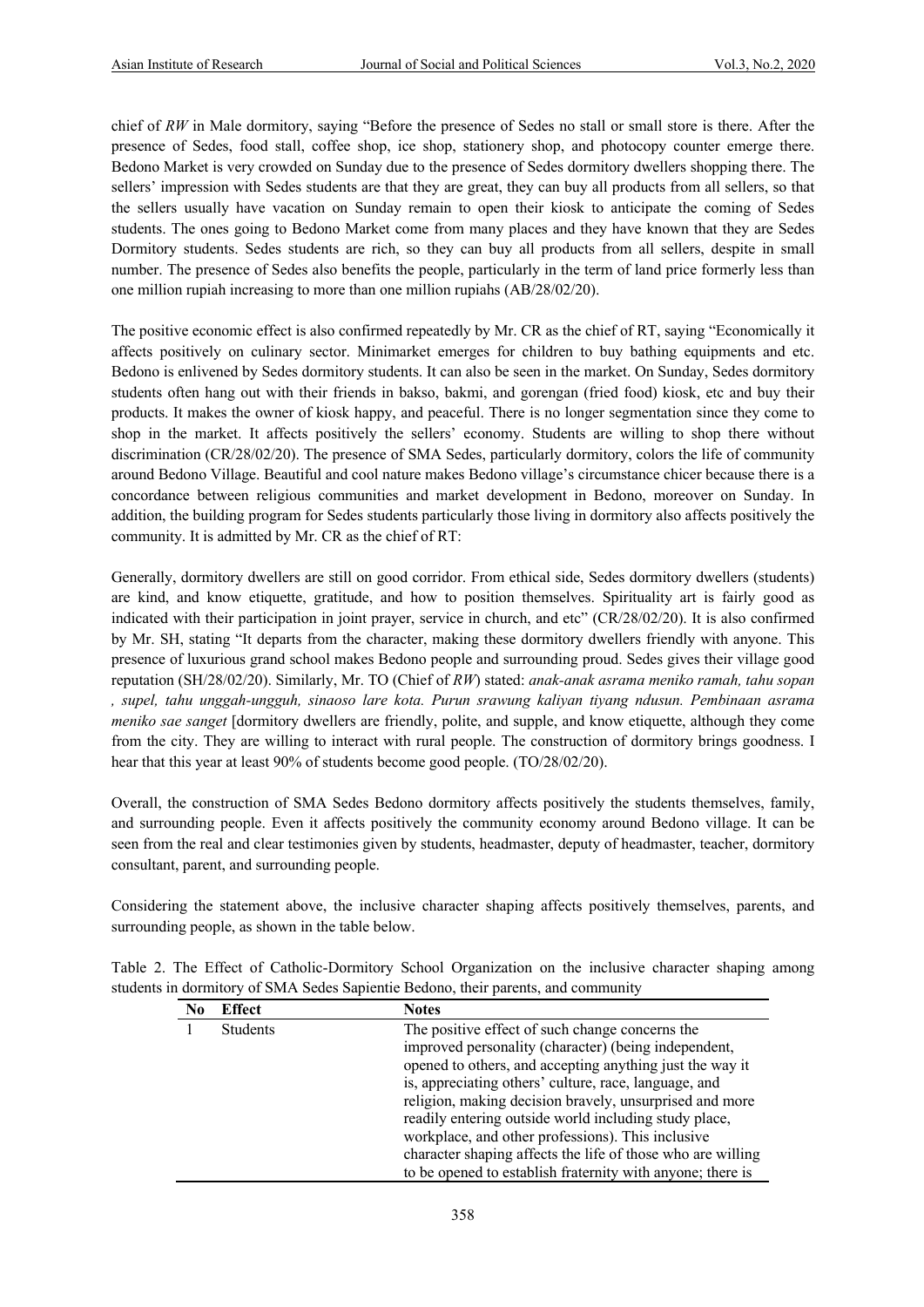chief of *RW* in Male dormitory, saying "Before the presence of Sedes no stall or small store is there. After the presence of Sedes, food stall, coffee shop, ice shop, stationery shop, and photocopy counter emerge there. Bedono Market is very crowded on Sunday due to the presence of Sedes dormitory dwellers shopping there. The sellers' impression with Sedes students are that they are great, they can buy all products from all sellers, so that the sellers usually have vacation on Sunday remain to open their kiosk to anticipate the coming of Sedes students. The ones going to Bedono Market come from many places and they have known that they are Sedes Dormitory students. Sedes students are rich, so they can buy all products from all sellers, despite in small number. The presence of Sedes also benefits the people, particularly in the term of land price formerly less than one million rupiah increasing to more than one million rupiahs (AB/28/02/20).

The positive economic effect is also confirmed repeatedly by Mr. CR as the chief of RT, saying "Economically it affects positively on culinary sector. Minimarket emerges for children to buy bathing equipments and etc. Bedono is enlivened by Sedes dormitory students. It can also be seen in the market. On Sunday, Sedes dormitory students often hang out with their friends in bakso, bakmi, and gorengan (fried food) kiosk, etc and buy their products. It makes the owner of kiosk happy, and peaceful. There is no longer segmentation since they come to shop in the market. It affects positively the sellers' economy. Students are willing to shop there without discrimination (CR/28/02/20). The presence of SMA Sedes, particularly dormitory, colors the life of community around Bedono Village. Beautiful and cool nature makes Bedono village's circumstance chicer because there is a concordance between religious communities and market development in Bedono, moreover on Sunday. In addition, the building program for Sedes students particularly those living in dormitory also affects positively the community. It is admitted by Mr. CR as the chief of RT:

Generally, dormitory dwellers are still on good corridor. From ethical side, Sedes dormitory dwellers (students) are kind, and know etiquette, gratitude, and how to position themselves. Spirituality art is fairly good as indicated with their participation in joint prayer, service in church, and etc" (CR/28/02/20). It is also confirmed by Mr. SH, stating "It departs from the character, making these dormitory dwellers friendly with anyone. This presence of luxurious grand school makes Bedono people and surrounding proud. Sedes gives their village good reputation (SH/28/02/20). Similarly, Mr. TO (Chief of *RW*) stated: *anak-anak asrama meniko ramah, tahu sopan , supel, tahu unggah-ungguh, sinaoso lare kota. Purun srawung kaliyan tiyang ndusun. Pembinaan asrama meniko sae sanget* [dormitory dwellers are friendly, polite, and supple, and know etiquette, although they come from the city. They are willing to interact with rural people. The construction of dormitory brings goodness. I hear that this year at least 90% of students become good people. (TO/28/02/20).

Overall, the construction of SMA Sedes Bedono dormitory affects positively the students themselves, family, and surrounding people. Even it affects positively the community economy around Bedono village. It can be seen from the real and clear testimonies given by students, headmaster, deputy of headmaster, teacher, dormitory consultant, parent, and surrounding people.

Considering the statement above, the inclusive character shaping affects positively themselves, parents, and surrounding people, as shown in the table below.

|  | Table 2. The Effect of Catholic-Dormitory School Organization on the inclusive character shaping among |  |  |  |
|--|--------------------------------------------------------------------------------------------------------|--|--|--|
|  | students in dormitory of SMA Sedes Sapientie Bedono, their parents, and community                      |  |  |  |

| No | <b>Effect</b> | <b>Notes</b>                                                |
|----|---------------|-------------------------------------------------------------|
|    | Students      | The positive effect of such change concerns the             |
|    |               | improved personality (character) (being independent,        |
|    |               | opened to others, and accepting anything just the way it    |
|    |               | is, appreciating others' culture, race, language, and       |
|    |               | religion, making decision bravely, unsurprised and more     |
|    |               | readily entering outside world including study place,       |
|    |               | workplace, and other professions). This inclusive           |
|    |               | character shaping affects the life of those who are willing |
|    |               | to be opened to establish fraternity with anyone; there is  |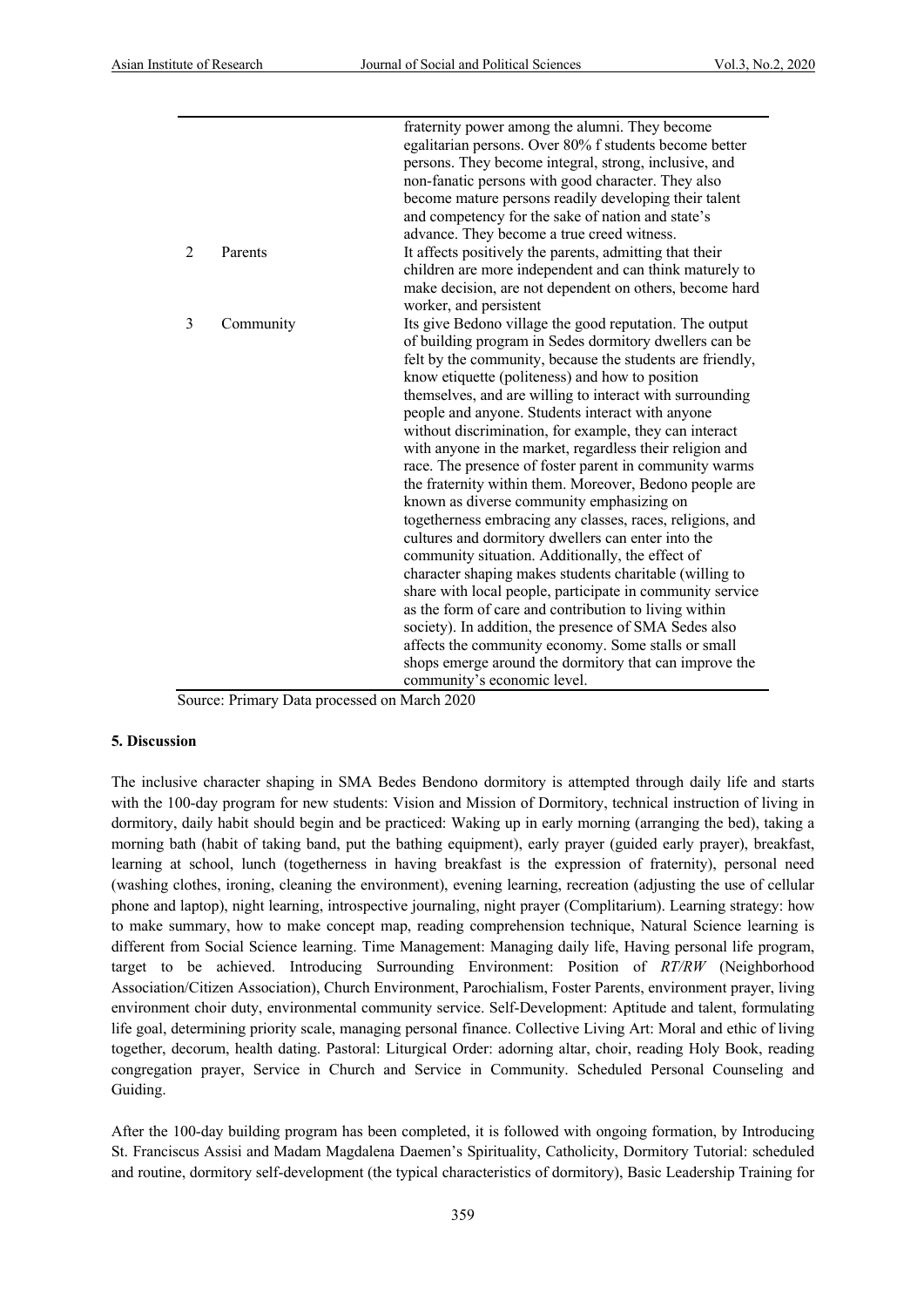|   |           | fraternity power among the alumni. They become            |
|---|-----------|-----------------------------------------------------------|
|   |           | egalitarian persons. Over 80% f students become better    |
|   |           | persons. They become integral, strong, inclusive, and     |
|   |           | non-fanatic persons with good character. They also        |
|   |           | become mature persons readily developing their talent     |
|   |           | and competency for the sake of nation and state's         |
|   |           | advance. They become a true creed witness.                |
| 2 | Parents   | It affects positively the parents, admitting that their   |
|   |           | children are more independent and can think maturely to   |
|   |           | make decision, are not dependent on others, become hard   |
|   |           | worker, and persistent                                    |
| 3 | Community | Its give Bedono village the good reputation. The output   |
|   |           | of building program in Sedes dormitory dwellers can be    |
|   |           | felt by the community, because the students are friendly, |
|   |           | know etiquette (politeness) and how to position           |
|   |           | themselves, and are willing to interact with surrounding  |
|   |           | people and anyone. Students interact with anyone          |
|   |           | without discrimination, for example, they can interact    |
|   |           | with anyone in the market, regardless their religion and  |
|   |           | race. The presence of foster parent in community warms    |
|   |           | the fraternity within them. Moreover, Bedono people are   |
|   |           | known as diverse community emphasizing on                 |
|   |           | togetherness embracing any classes, races, religions, and |
|   |           | cultures and dormitory dwellers can enter into the        |
|   |           | community situation. Additionally, the effect of          |
|   |           | character shaping makes students charitable (willing to   |
|   |           | share with local people, participate in community service |
|   |           | as the form of care and contribution to living within     |
|   |           | society). In addition, the presence of SMA Sedes also     |
|   |           | affects the community economy. Some stalls or small       |
|   |           | shops emerge around the dormitory that can improve the    |
|   |           | community's economic level.                               |

Source: Primary Data processed on March 2020

#### **5. Discussion**

The inclusive character shaping in SMA Bedes Bendono dormitory is attempted through daily life and starts with the 100-day program for new students: Vision and Mission of Dormitory, technical instruction of living in dormitory, daily habit should begin and be practiced: Waking up in early morning (arranging the bed), taking a morning bath (habit of taking band, put the bathing equipment), early prayer (guided early prayer), breakfast, learning at school, lunch (togetherness in having breakfast is the expression of fraternity), personal need (washing clothes, ironing, cleaning the environment), evening learning, recreation (adjusting the use of cellular phone and laptop), night learning, introspective journaling, night prayer (Complitarium). Learning strategy: how to make summary, how to make concept map, reading comprehension technique, Natural Science learning is different from Social Science learning. Time Management: Managing daily life, Having personal life program, target to be achieved. Introducing Surrounding Environment: Position of *RT/RW* (Neighborhood Association/Citizen Association), Church Environment, Parochialism, Foster Parents, environment prayer, living environment choir duty, environmental community service. Self-Development: Aptitude and talent, formulating life goal, determining priority scale, managing personal finance. Collective Living Art: Moral and ethic of living together, decorum, health dating. Pastoral: Liturgical Order: adorning altar, choir, reading Holy Book, reading congregation prayer, Service in Church and Service in Community. Scheduled Personal Counseling and Guiding.

After the 100-day building program has been completed, it is followed with ongoing formation, by Introducing St. Franciscus Assisi and Madam Magdalena Daemen's Spirituality, Catholicity, Dormitory Tutorial: scheduled and routine, dormitory self-development (the typical characteristics of dormitory), Basic Leadership Training for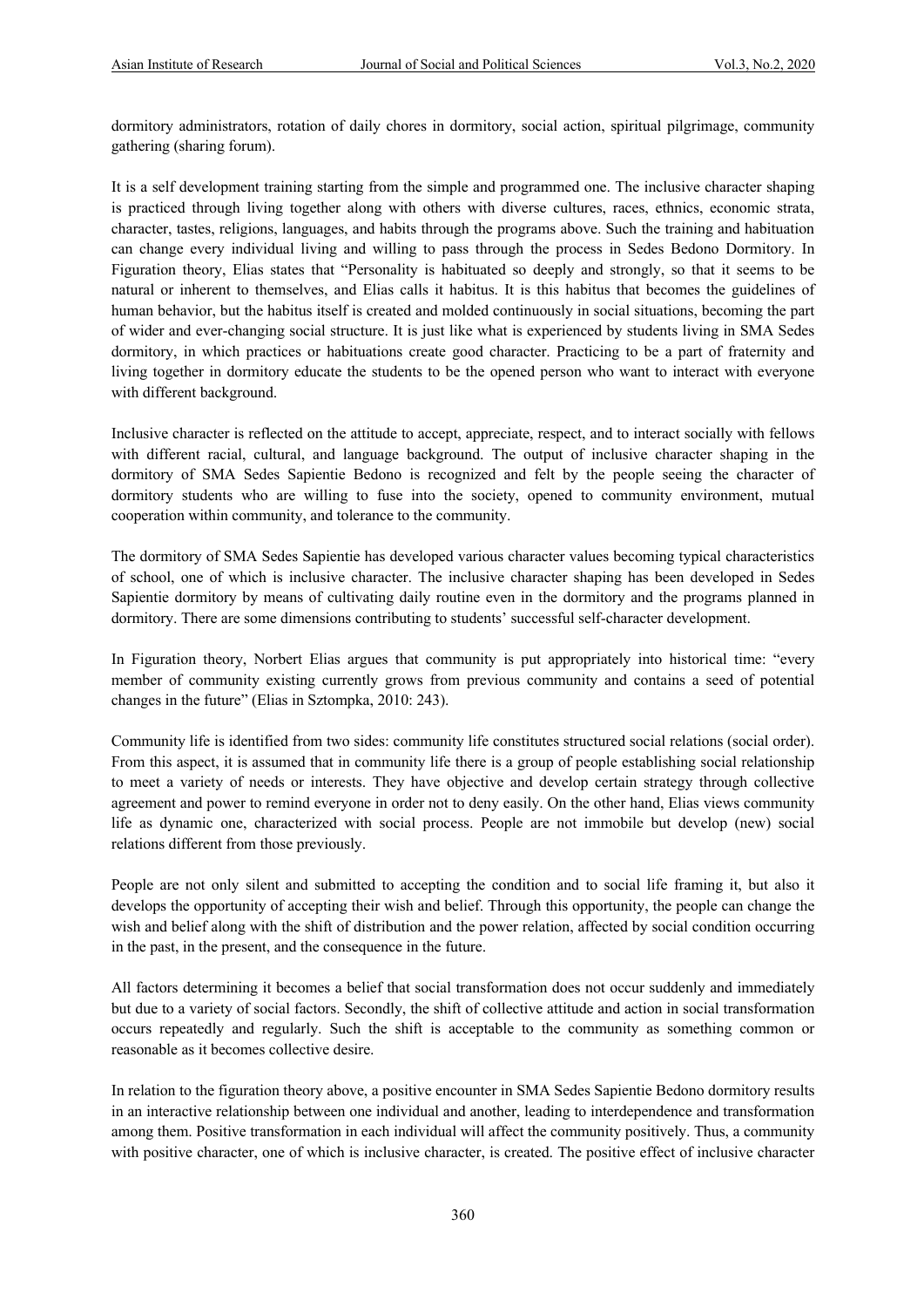dormitory administrators, rotation of daily chores in dormitory, social action, spiritual pilgrimage, community gathering (sharing forum).

It is a self development training starting from the simple and programmed one. The inclusive character shaping is practiced through living together along with others with diverse cultures, races, ethnics, economic strata, character, tastes, religions, languages, and habits through the programs above. Such the training and habituation can change every individual living and willing to pass through the process in Sedes Bedono Dormitory. In Figuration theory, Elias states that "Personality is habituated so deeply and strongly, so that it seems to be natural or inherent to themselves, and Elias calls it habitus. It is this habitus that becomes the guidelines of human behavior, but the habitus itself is created and molded continuously in social situations, becoming the part of wider and ever-changing social structure. It is just like what is experienced by students living in SMA Sedes dormitory, in which practices or habituations create good character. Practicing to be a part of fraternity and living together in dormitory educate the students to be the opened person who want to interact with everyone with different background.

Inclusive character is reflected on the attitude to accept, appreciate, respect, and to interact socially with fellows with different racial, cultural, and language background. The output of inclusive character shaping in the dormitory of SMA Sedes Sapientie Bedono is recognized and felt by the people seeing the character of dormitory students who are willing to fuse into the society, opened to community environment, mutual cooperation within community, and tolerance to the community.

The dormitory of SMA Sedes Sapientie has developed various character values becoming typical characteristics of school, one of which is inclusive character. The inclusive character shaping has been developed in Sedes Sapientie dormitory by means of cultivating daily routine even in the dormitory and the programs planned in dormitory. There are some dimensions contributing to students' successful self-character development.

In Figuration theory, Norbert Elias argues that community is put appropriately into historical time: "every member of community existing currently grows from previous community and contains a seed of potential changes in the future" (Elias in Sztompka, 2010: 243).

Community life is identified from two sides: community life constitutes structured social relations (social order). From this aspect, it is assumed that in community life there is a group of people establishing social relationship to meet a variety of needs or interests. They have objective and develop certain strategy through collective agreement and power to remind everyone in order not to deny easily. On the other hand, Elias views community life as dynamic one, characterized with social process. People are not immobile but develop (new) social relations different from those previously.

People are not only silent and submitted to accepting the condition and to social life framing it, but also it develops the opportunity of accepting their wish and belief. Through this opportunity, the people can change the wish and belief along with the shift of distribution and the power relation, affected by social condition occurring in the past, in the present, and the consequence in the future.

All factors determining it becomes a belief that social transformation does not occur suddenly and immediately but due to a variety of social factors. Secondly, the shift of collective attitude and action in social transformation occurs repeatedly and regularly. Such the shift is acceptable to the community as something common or reasonable as it becomes collective desire.

In relation to the figuration theory above, a positive encounter in SMA Sedes Sapientie Bedono dormitory results in an interactive relationship between one individual and another, leading to interdependence and transformation among them. Positive transformation in each individual will affect the community positively. Thus, a community with positive character, one of which is inclusive character, is created. The positive effect of inclusive character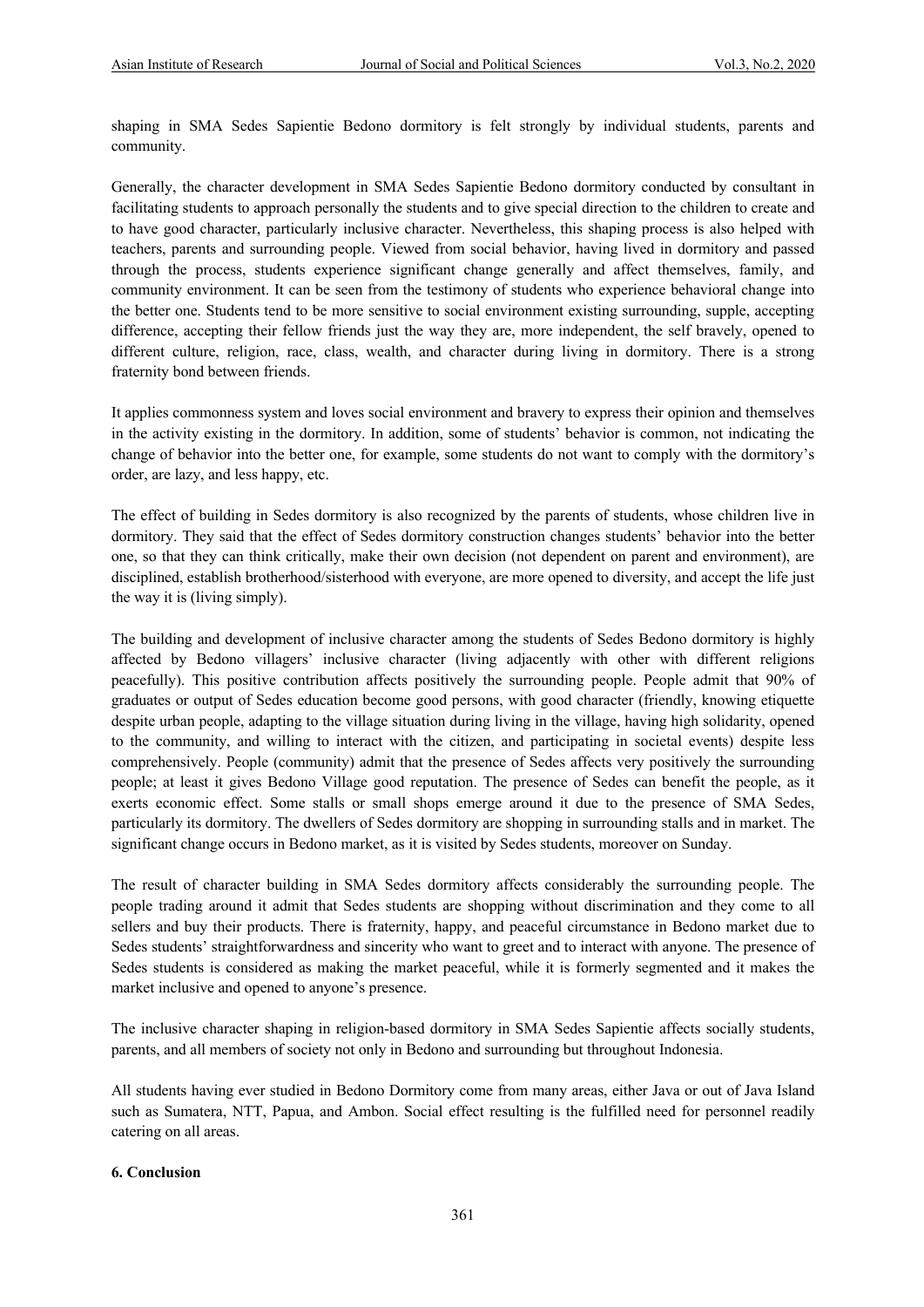shaping in SMA Sedes Sapientie Bedono dormitory is felt strongly by individual students, parents and community.

Generally, the character development in SMA Sedes Sapientie Bedono dormitory conducted by consultant in facilitating students to approach personally the students and to give special direction to the children to create and to have good character, particularly inclusive character. Nevertheless, this shaping process is also helped with teachers, parents and surrounding people. Viewed from social behavior, having lived in dormitory and passed through the process, students experience significant change generally and affect themselves, family, and community environment. It can be seen from the testimony of students who experience behavioral change into the better one. Students tend to be more sensitive to social environment existing surrounding, supple, accepting difference, accepting their fellow friends just the way they are, more independent, the self bravely, opened to different culture, religion, race, class, wealth, and character during living in dormitory. There is a strong fraternity bond between friends.

It applies commonness system and loves social environment and bravery to express their opinion and themselves in the activity existing in the dormitory. In addition, some of students' behavior is common, not indicating the change of behavior into the better one, for example, some students do not want to comply with the dormitory's order, are lazy, and less happy, etc.

The effect of building in Sedes dormitory is also recognized by the parents of students, whose children live in dormitory. They said that the effect of Sedes dormitory construction changes students' behavior into the better one, so that they can think critically, make their own decision (not dependent on parent and environment), are disciplined, establish brotherhood/sisterhood with everyone, are more opened to diversity, and accept the life just the way it is (living simply).

The building and development of inclusive character among the students of Sedes Bedono dormitory is highly affected by Bedono villagers' inclusive character (living adjacently with other with different religions peacefully). This positive contribution affects positively the surrounding people. People admit that 90% of graduates or output of Sedes education become good persons, with good character (friendly, knowing etiquette despite urban people, adapting to the village situation during living in the village, having high solidarity, opened to the community, and willing to interact with the citizen, and participating in societal events) despite less comprehensively. People (community) admit that the presence of Sedes affects very positively the surrounding people; at least it gives Bedono Village good reputation. The presence of Sedes can benefit the people, as it exerts economic effect. Some stalls or small shops emerge around it due to the presence of SMA Sedes, particularly its dormitory. The dwellers of Sedes dormitory are shopping in surrounding stalls and in market. The significant change occurs in Bedono market, as it is visited by Sedes students, moreover on Sunday.

The result of character building in SMA Sedes dormitory affects considerably the surrounding people. The people trading around it admit that Sedes students are shopping without discrimination and they come to all sellers and buy their products. There is fraternity, happy, and peaceful circumstance in Bedono market due to Sedes students' straightforwardness and sincerity who want to greet and to interact with anyone. The presence of Sedes students is considered as making the market peaceful, while it is formerly segmented and it makes the market inclusive and opened to anyone's presence.

The inclusive character shaping in religion-based dormitory in SMA Sedes Sapientie affects socially students, parents, and all members of society not only in Bedono and surrounding but throughout Indonesia.

All students having ever studied in Bedono Dormitory come from many areas, either Java or out of Java Island such as Sumatera, NTT, Papua, and Ambon. Social effect resulting is the fulfilled need for personnel readily catering on all areas.

#### **6. Conclusion**